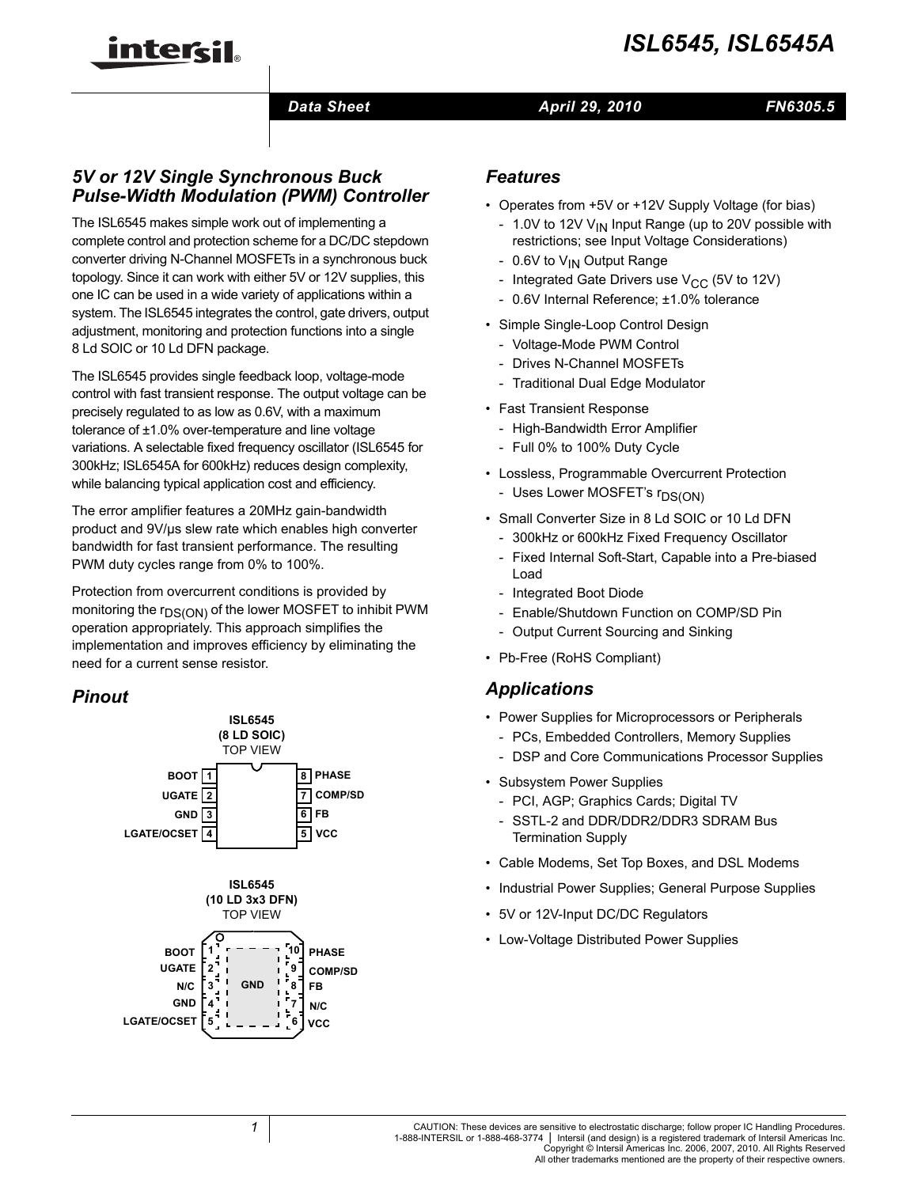

## **Data Sheet April 29, 2010**

# *FN6305.5*

# *5V or 12V Single Synchronous Buck Pulse-Width Modulation (PWM) Controller*

inter<del>cil</del>

The ISL6545 makes simple work out of implementing a complete control and protection scheme for a DC/DC stepdown converter driving N-Channel MOSFETs in a synchronous buck topology. Since it can work with either 5V or 12V supplies, this one IC can be used in a wide variety of applications within a system. The ISL6545 integrates the control, gate drivers, output adjustment, monitoring and protection functions into a single 8 Ld SOIC or 10 Ld DFN package.

The ISL6545 provides single feedback loop, voltage-mode control with fast transient response. The output voltage can be precisely regulated to as low as 0.6V, with a maximum tolerance of ±1.0% over-temperature and line voltage variations. A selectable fixed frequency oscillator (ISL6545 for 300kHz; ISL6545A for 600kHz) reduces design complexity, while balancing typical application cost and efficiency.

The error amplifier features a 20MHz gain-bandwidth product and 9V/µs slew rate which enables high converter bandwidth for fast transient performance. The resulting PWM duty cycles range from 0% to 100%.

Protection from overcurrent conditions is provided by monitoring the  $r_{DS(ON)}$  of the lower MOSFET to inhibit PWM operation appropriately. This approach simplifies the implementation and improves efficiency by eliminating the need for a current sense resistor.

# *Pinout*



# *Features*

- Operates from +5V or +12V Supply Voltage (for bias)
	- 1.0V to 12V  $V_{IN}$  Input Range (up to 20V possible with restrictions; see Input Voltage Considerations)
	- 0.6V to V<sub>IN</sub> Output Range
	- Integrated Gate Drivers use  $V_{CC}$  (5V to 12V)
	- 0.6V Internal Reference; ±1.0% tolerance
- Simple Single-Loop Control Design
	- Voltage-Mode PWM Control
	- Drives N-Channel MOSFETs
	- Traditional Dual Edge Modulator
- Fast Transient Response
	- High-Bandwidth Error Amplifier
	- Full 0% to 100% Duty Cycle
- Lossless, Programmable Overcurrent Protection
	- Uses Lower MOSFET's r<sub>DS(ON)</sub>
- Small Converter Size in 8 Ld SOIC or 10 Ld DFN
	- 300kHz or 600kHz Fixed Frequency Oscillator
	- Fixed Internal Soft-Start, Capable into a Pre-biased Load
	- Integrated Boot Diode
	- Enable/Shutdown Function on COMP/SD Pin
	- Output Current Sourcing and Sinking
- Pb-Free (RoHS Compliant)

# *Applications*

- Power Supplies for Microprocessors or Peripherals
	- PCs, Embedded Controllers, Memory Supplies - DSP and Core Communications Processor Supplies
- Subsystem Power Supplies
	- PCI, AGP; Graphics Cards; Digital TV
	- SSTL-2 and DDR/DDR2/DDR3 SDRAM Bus Termination Supply
- Cable Modems, Set Top Boxes, and DSL Modems
- Industrial Power Supplies; General Purpose Supplies
- 5V or 12V-Input DC/DC Regulators
- Low-Voltage Distributed Power Supplies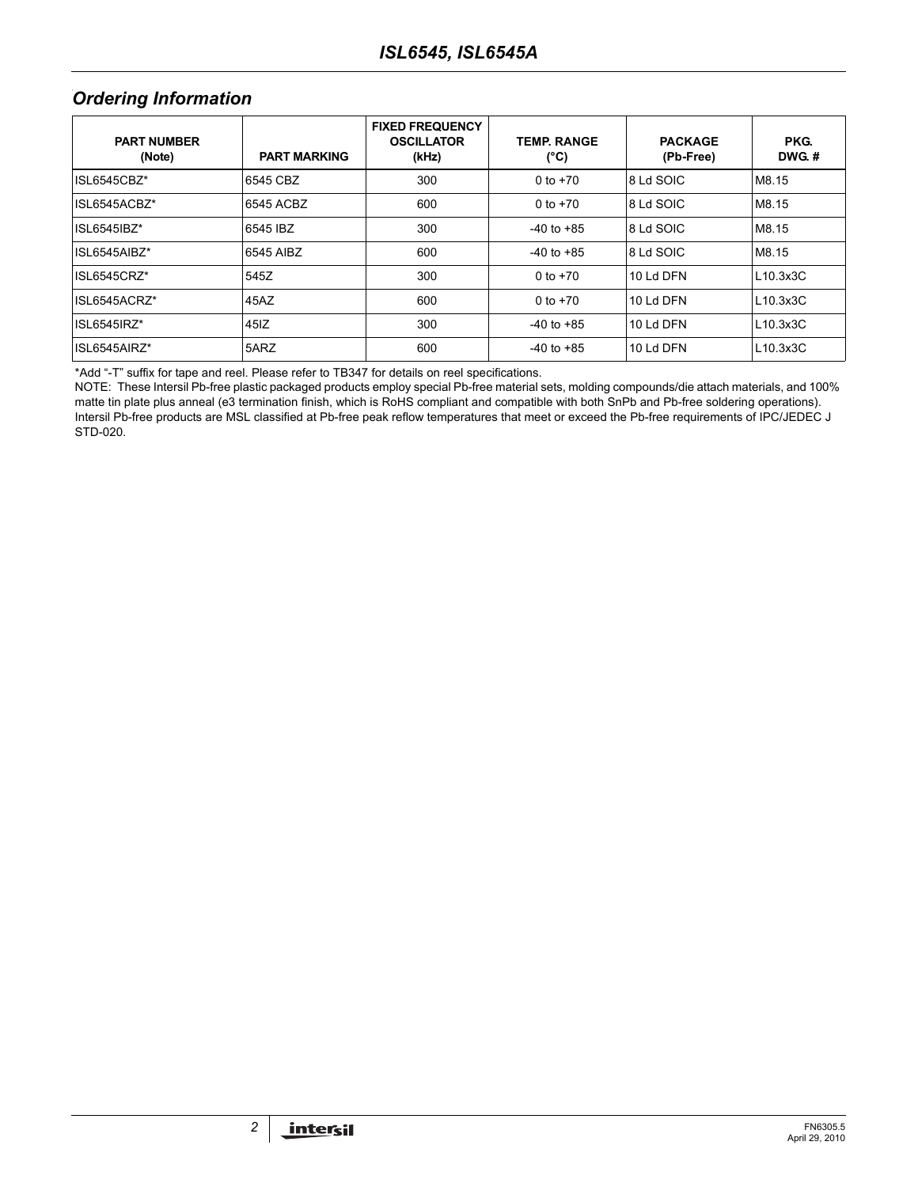# **Ordering Information**

| <b>PART NUMBER</b><br>(Note) | <b>PART MARKING</b> | <b>FIXED FREQUENCY</b><br><b>OSCILLATOR</b><br>(kHz) | <b>TEMP RANGE</b><br>(°C) | <b>PACKAGE</b><br>(Pb-Free) | PKG.<br>DWG.# |
|------------------------------|---------------------|------------------------------------------------------|---------------------------|-----------------------------|---------------|
| ISL6545CBZ*                  | 6545 CBZ            | 300                                                  | 0 to $+70$                | 8 Ld SOIC                   | M8.15         |
| ISL6545ACBZ*                 | 6545 ACBZ           | 600                                                  | 0 to $+70$                | 8 Ld SOIC                   | M8.15         |
| ISL6545IBZ*                  | 6545 IBZ            | 300                                                  | $-40$ to $+85$            | 8 Ld SOIC                   | M8.15         |
| ISL6545AIBZ*                 | 6545 AIBZ           | 600                                                  | $-40$ to $+85$            | 8 Ld SOIC                   | M8.15         |
| ISL6545CRZ*                  | 545Z                | 300                                                  | 0 to $+70$                | 10 Ld DFN                   | L10.3x3C      |
| ISL6545ACRZ*                 | 45AZ                | 600                                                  | 0 to $+70$                | 10 Ld DFN                   | L10.3x3C      |
| ISL6545IRZ*                  | 45 <sub>IZ</sub>    | 300                                                  | $-40$ to $+85$            | 10 Ld DFN                   | L10.3x3C      |
| ISL6545AIRZ*                 | 5ARZ                | 600                                                  | $-40$ to $+85$            | 10 Ld DFN                   | L10.3x3C      |

[\\*Add "-T" suffix for tape and reel. Please refer to TB347 for details on reel specifications.](http://www.intersil.com/data/tb/tb347.pdf)

NOTE: These Intersil Pb-free plastic packaged products employ special Pb-free material sets, molding compounds/die attach materials, and 100% matte tin plate plus anneal (e3 termination finish, which is RoHS compliant and compatible with both SnPb and Pb-free soldering operations). Intersil Pb-free products are MSL classified at Pb-free peak reflow temperatures that meet or exceed the Pb-free requirements of IPC/JEDEC J STD-020.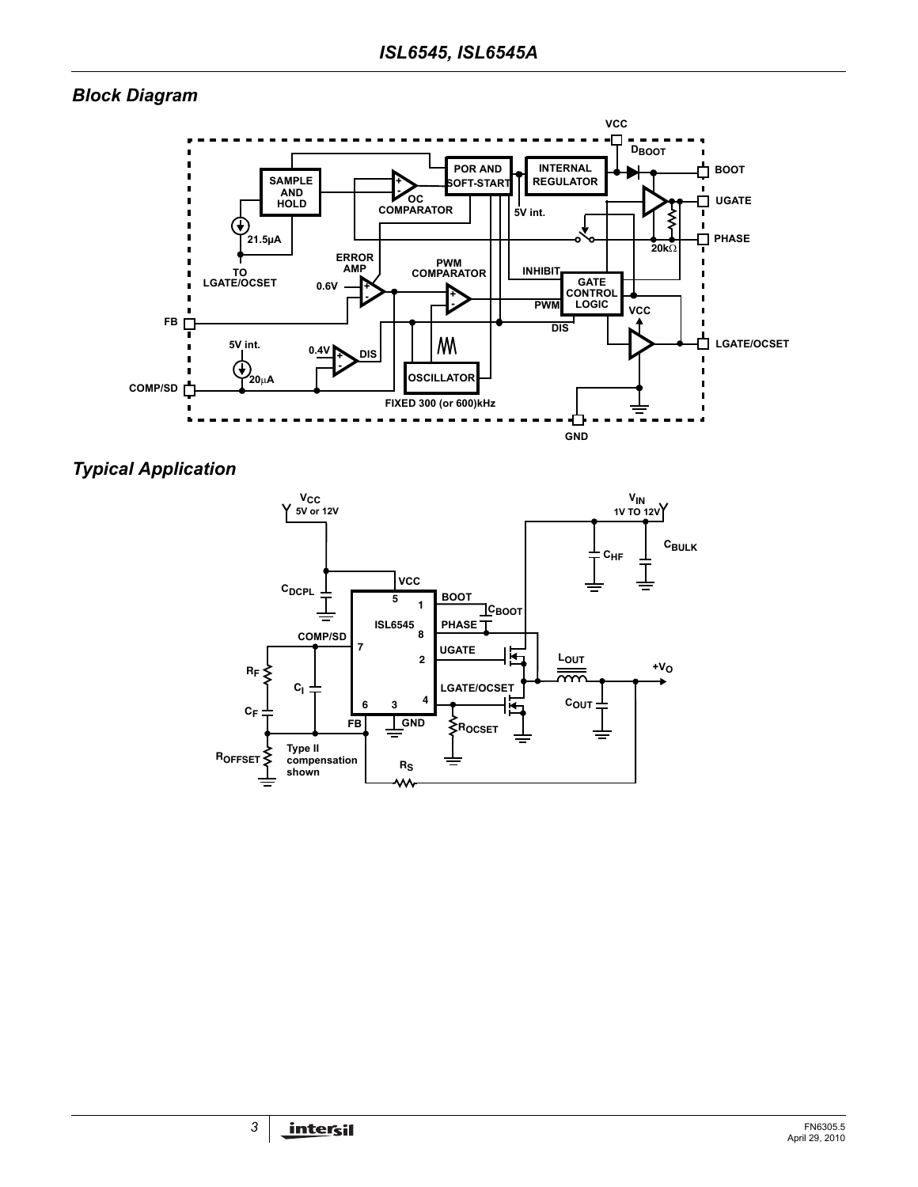# *Block Diagram*



<span id="page-2-0"></span>*Typical Application*

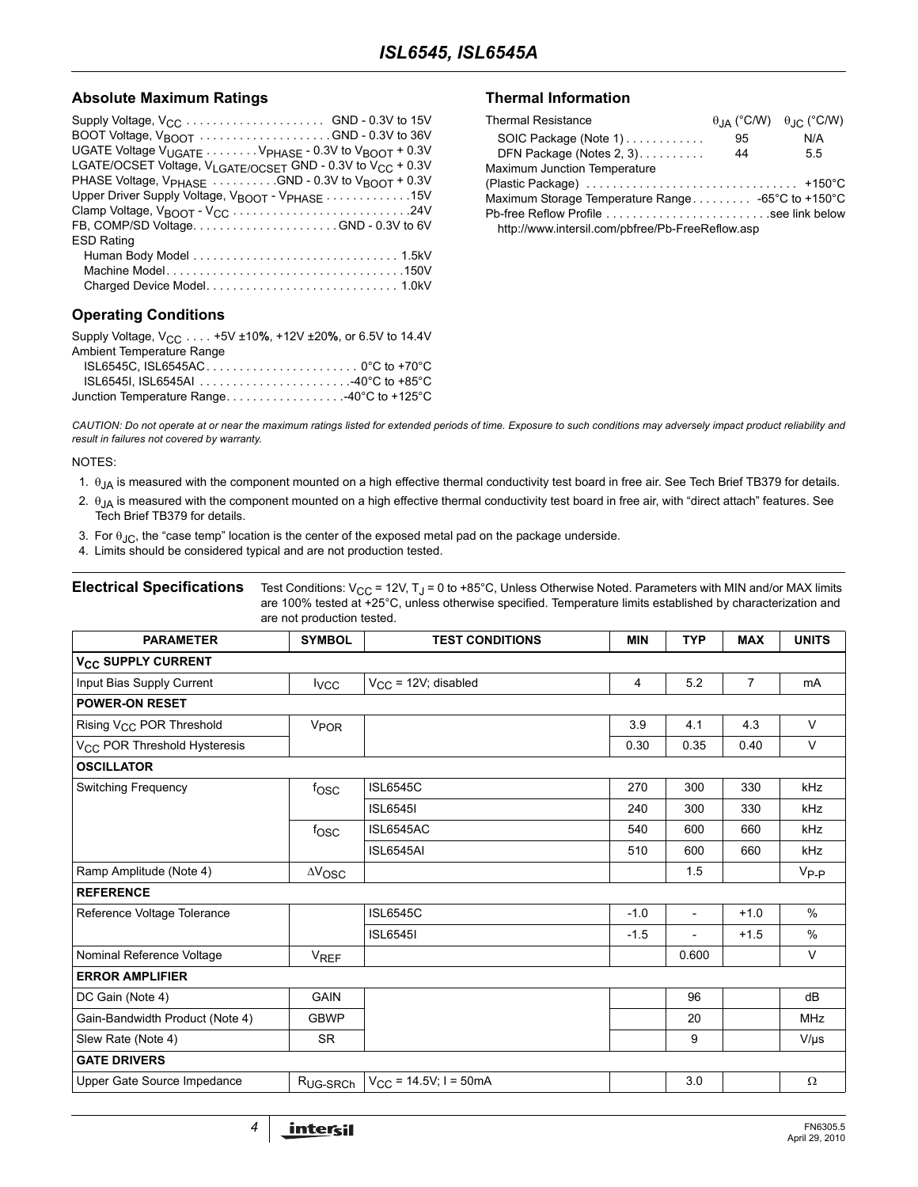#### Absolute Maximum Ratings **Thermal Information**

| BOOT Voltage, V <sub>BOOT</sub> GND - 0.3V to 36V                                  |
|------------------------------------------------------------------------------------|
| UGATE Voltage $V_{UGATE}$ V <sub>PHASE</sub> - 0.3V to $V_{BOOT}$ + 0.3V           |
| LGATE/OCSET Voltage, V <sub>LGATE/OCSET</sub> GND - 0.3V to V <sub>CC</sub> + 0.3V |
| PHASE Voltage, V <sub>PHASE</sub> GND - 0.3V to V <sub>BOOT</sub> + 0.3V           |
| Upper Driver Supply Voltage, V <sub>BOOT</sub> - V <sub>PHASE</sub> 15V            |
|                                                                                    |
| FB, COMP/SD VoltageGND - 0.3V to 6V                                                |
| <b>ESD Rating</b>                                                                  |
|                                                                                    |
|                                                                                    |
|                                                                                    |
| <b>Operating Conditions</b>                                                        |

| Supply Voltage, V <sub>CC</sub> +5V ±10%, +12V ±20%, or 6.5V to 14.4V |  |
|-----------------------------------------------------------------------|--|
| Ambient Temperature Range                                             |  |
|                                                                       |  |
|                                                                       |  |
| Junction Temperature Range40°C to +125°C                              |  |

| <b>Thermal Resistance</b>                        |    | $\theta$ <sub>JA</sub> (°C/W) $\theta$ <sub>JC</sub> (°C/W) |
|--------------------------------------------------|----|-------------------------------------------------------------|
| SOIC Package (Note 1)                            | 95 | N/A                                                         |
| DFN Package (Notes 2, 3).                        | 44 | 5.5                                                         |
| Maximum Junction Temperature                     |    |                                                             |
|                                                  |    |                                                             |
|                                                  |    |                                                             |
|                                                  |    |                                                             |
| http://www.intersil.com/pbfree/Pb-FreeReflow.asp |    |                                                             |

*CAUTION: Do not operate at or near the maximum ratings listed for extended periods of time. Exposure to such conditions may adversely impact product reliability and result in failures not covered by warranty.*

#### NOTES:

- 1. θJA is measured with the component mounted on a high effective thermal conductivity test board in free air. See Tech Brief TB379 for details.
- <span id="page-3-2"></span>2.  $\theta_{JA}$  is measured with the component mounted on a high effective thermal conductivity test board in free air, with "direct attach" features. See Tech Brief TB379 for details.
- <span id="page-3-1"></span>3. For  $\theta_{\text{JC}}$ , the "case temp" location is the center of the exposed metal pad on the package underside.
- <span id="page-3-0"></span>4. Limits should be considered typical and are not production tested.

**Electrical Specifications** Test Conditions:  $V_{CC}$  = 12V, T<sub>J</sub> = 0 to +85°C, Unless Otherwise Noted. Parameters with MIN and/or MAX limits are 100% tested at +25°C, unless otherwise specified. Temperature limits established by characterization and are not production tested.

| <b>PARAMETER</b>                         | <b>SYMBOL</b>          | <b>TEST CONDITIONS</b>     | <b>MIN</b> | <b>TYP</b>               | <b>MAX</b>     | <b>UNITS</b> |
|------------------------------------------|------------------------|----------------------------|------------|--------------------------|----------------|--------------|
| <b>V<sub>CC</sub> SUPPLY CURRENT</b>     |                        |                            |            |                          |                |              |
| Input Bias Supply Current                | $I_{VCC}$              | $V_{CC}$ = 12V; disabled   | 4          | 5.2                      | $\overline{7}$ | mA           |
| <b>POWER-ON RESET</b>                    |                        |                            |            |                          |                |              |
| Rising V <sub>CC</sub> POR Threshold     | <b>V<sub>POR</sub></b> |                            | 3.9        | 4.1                      | 4.3            | $\vee$       |
| V <sub>CC</sub> POR Threshold Hysteresis |                        |                            | 0.30       | 0.35                     | 0.40           | $\vee$       |
| <b>OSCILLATOR</b>                        |                        |                            |            |                          |                |              |
| Switching Frequency                      | fosc                   | <b>ISL6545C</b>            | 270        | 300                      | 330            | kHz          |
|                                          |                        | <b>ISL6545I</b>            | 240        | 300                      | 330            | kHz          |
|                                          | fosc                   | <b>ISL6545AC</b>           | 540        | 600                      | 660            | kHz          |
|                                          |                        | ISL6545AI                  | 510        | 600                      | 660            | <b>kHz</b>   |
| Ramp Amplitude (Note 4)                  | $\Delta V_{\rm{OSC}}$  |                            |            | 1.5                      |                | $V_{P-P}$    |
| <b>REFERENCE</b>                         |                        |                            |            |                          |                |              |
| Reference Voltage Tolerance              |                        | <b>ISL6545C</b>            | $-1.0$     | $\overline{\phantom{a}}$ | $+1.0$         | $\%$         |
|                                          |                        | <b>ISL6545I</b>            | $-1.5$     |                          | $+1.5$         | $\%$         |
| Nominal Reference Voltage                | <b>VREF</b>            |                            |            | 0.600                    |                | V            |
| <b>ERROR AMPLIFIER</b>                   |                        |                            |            |                          |                |              |
| DC Gain (Note 4)                         | <b>GAIN</b>            |                            |            | 96                       |                | dB           |
| Gain-Bandwidth Product (Note 4)          | <b>GBWP</b>            |                            |            | 20                       |                | <b>MHz</b>   |
| Slew Rate (Note 4)                       | <b>SR</b>              |                            |            | 9                        |                | $V/\mu s$    |
| <b>GATE DRIVERS</b>                      |                        |                            |            |                          |                |              |
| Upper Gate Source Impedance              | R <sub>UG-SRCh</sub>   | $V_{CC}$ = 14.5V; I = 50mA |            | 3.0                      |                | $\Omega$     |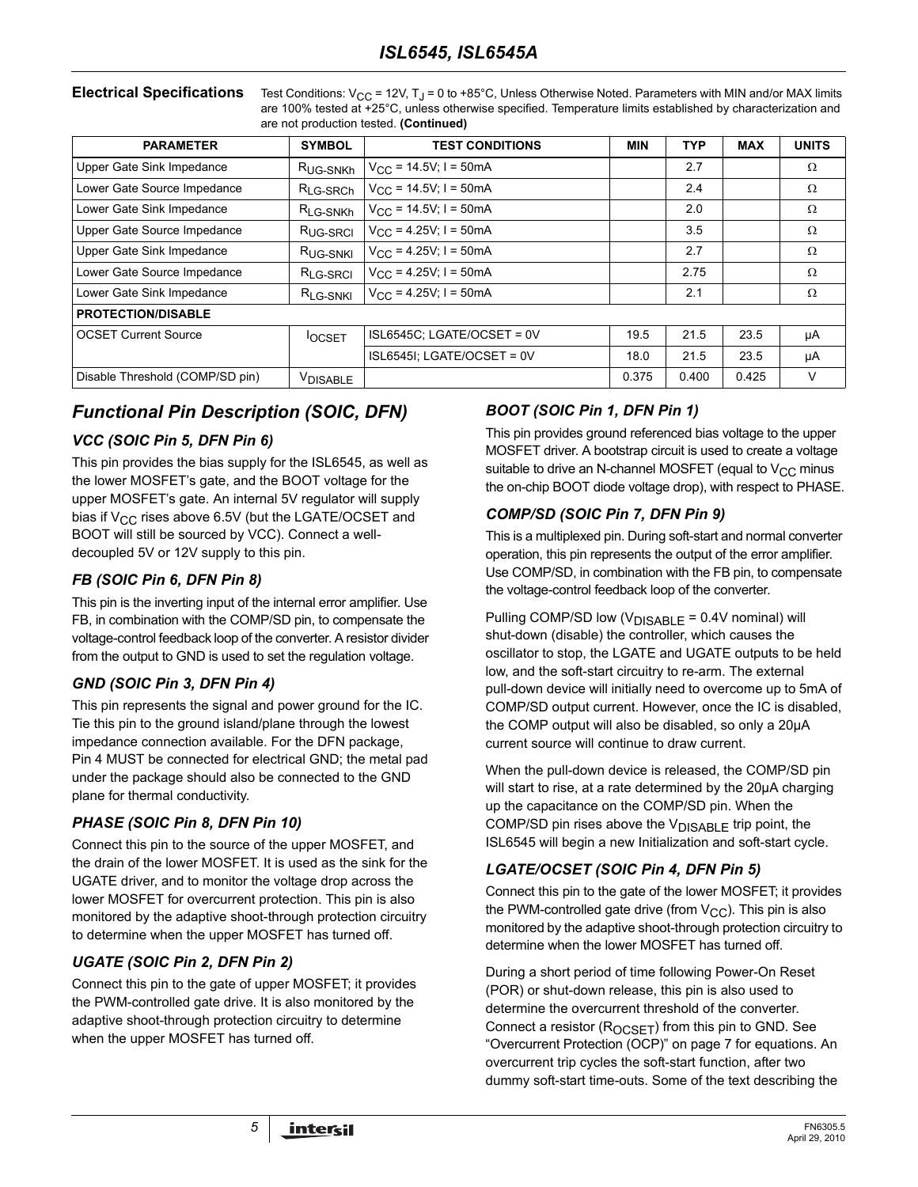**Electrical Specifications** Test Conditions:  $V_{CC}$  = 12V, T<sub>J</sub> = 0 to +85°C, Unless Otherwise Noted. Parameters with MIN and/or MAX limits are 100% tested at +25°C, unless otherwise specified. Temperature limits established by characterization and are not production tested. **(Continued)**

| <b>PARAMETER</b>                | <b>SYMBOL</b>        | <b>TEST CONDITIONS</b>             | <b>MIN</b> | <b>TYP</b> | <b>MAX</b> | <b>UNITS</b> |
|---------------------------------|----------------------|------------------------------------|------------|------------|------------|--------------|
| Upper Gate Sink Impedance       | R <sub>UG-SNKh</sub> | $V_{\text{CC}}$ = 14.5V; I = 50mA  |            | 2.7        |            | Ω            |
| Lower Gate Source Impedance     | R <sub>LG-SRCh</sub> | $V_{CC}$ = 14.5V; I = 50mA         |            | 2.4        |            | Ω            |
| Lower Gate Sink Impedance       | R <sub>LG-SNKh</sub> | $V_{\text{CC}}$ = 14.5V; I = 50mA  |            | 2.0        |            | Ω            |
| Upper Gate Source Impedance     | R <sub>UG-SRCI</sub> | $V_{\text{CC}}$ = 4.25V; I = 50mA  |            | 3.5        |            | Ω            |
| Upper Gate Sink Impedance       | R <sub>UG-SNKI</sub> | $V_{CC}$ = 4.25V; I = 50mA         |            | 2.7        |            | Ω            |
| Lower Gate Source Impedance     | R <sub>LG-SRCI</sub> | $V_{\text{CC}} = 4.25V$ ; I = 50mA |            | 2.75       |            | Ω            |
| Lower Gate Sink Impedance       | R <sub>LG-SNKI</sub> | $V_{\text{CC}}$ = 4.25V; I = 50mA  |            | 2.1        |            | Ω            |
| <b>PROTECTION/DISABLE</b>       |                      |                                    |            |            |            |              |
| <b>OCSET Current Source</b>     | <b>OCSET</b>         | ISL6545C; LGATE/OCSET = 0V         | 19.5       | 21.5       | 23.5       | μA           |
|                                 |                      | ISL6545I; LGATE/OCSET = 0V         | 18.0       | 21.5       | 23.5       | μA           |
| Disable Threshold (COMP/SD pin) | VDISABLE             |                                    | 0.375      | 0.400      | 0.425      | V            |

# *Functional Pin Description (SOIC, DFN)*

## *VCC (SOIC Pin 5, DFN Pin 6)*

This pin provides the bias supply for the ISL6545, as well as the lower MOSFET's gate, and the BOOT voltage for the upper MOSFET's gate. An internal 5V regulator will supply bias if  $V_{\rm CC}$  rises above 6.5V (but the LGATE/OCSET and BOOT will still be sourced by VCC). Connect a welldecoupled 5V or 12V supply to this pin.

## *FB (SOIC Pin 6, DFN Pin 8)*

This pin is the inverting input of the internal error amplifier. Use FB, in combination with the COMP/SD pin, to compensate the voltage-control feedback loop of the converter. A resistor divider from the output to GND is used to set the regulation voltage.

## *GND (SOIC Pin 3, DFN Pin 4)*

This pin represents the signal and power ground for the IC. Tie this pin to the ground island/plane through the lowest impedance connection available. For the DFN package, Pin 4 MUST be connected for electrical GND; the metal pad under the package should also be connected to the GND plane for thermal conductivity.

## *PHASE (SOIC Pin 8, DFN Pin 10)*

Connect this pin to the source of the upper MOSFET, and the drain of the lower MOSFET. It is used as the sink for the UGATE driver, and to monitor the voltage drop across the lower MOSFET for overcurrent protection. This pin is also monitored by the adaptive shoot-through protection circuitry to determine when the upper MOSFET has turned off.

## *UGATE (SOIC Pin 2, DFN Pin 2)*

Connect this pin to the gate of upper MOSFET; it provides the PWM-controlled gate drive. It is also monitored by the adaptive shoot-through protection circuitry to determine when the upper MOSFET has turned off.

## *BOOT (SOIC Pin 1, DFN Pin 1)*

This pin provides ground referenced bias voltage to the upper MOSFET driver. A bootstrap circuit is used to create a voltage suitable to drive an N-channel MOSFET (equal to  $V_{CC}$  minus the on-chip BOOT diode voltage drop), with respect to PHASE.

## *COMP/SD (SOIC Pin 7, DFN Pin 9)*

This is a multiplexed pin. During soft-start and normal converter operation, this pin represents the output of the error amplifier. Use COMP/SD, in combination with the FB pin, to compensate the voltage-control feedback loop of the converter.

Pulling COMP/SD low  $(V_{DISABLE} = 0.4V$  nominal) will shut-down (disable) the controller, which causes the oscillator to stop, the LGATE and UGATE outputs to be held low, and the soft-start circuitry to re-arm. The external pull-down device will initially need to overcome up to 5mA of COMP/SD output current. However, once the IC is disabled, the COMP output will also be disabled, so only a 20µA current source will continue to draw current.

When the pull-down device is released, the COMP/SD pin will start to rise, at a rate determined by the 20µA charging up the capacitance on the COMP/SD pin. When the COMP/SD pin rises above the V<sub>DISABLE</sub> trip point, the ISL6545 will begin a new Initialization and soft-start cycle.

# *LGATE/OCSET (SOIC Pin 4, DFN Pin 5)*

Connect this pin to the gate of the lower MOSFET; it provides the PWM-controlled gate drive (from  $V_{CC}$ ). This pin is also monitored by the adaptive shoot-through protection circuitry to determine when the lower MOSFET has turned off.

During a short period of time following Power-On Reset (POR) or shut-down release, this pin is also used to determine the overcurrent threshold of the converter. Connect a resistor  $(R_{OCSET})$  from this pin to GND. See ["Overcurrent Protection \(OCP\)" on page 7](#page-6-0) for equations. An overcurrent trip cycles the soft-start function, after two dummy soft-start time-outs. Some of the text describing the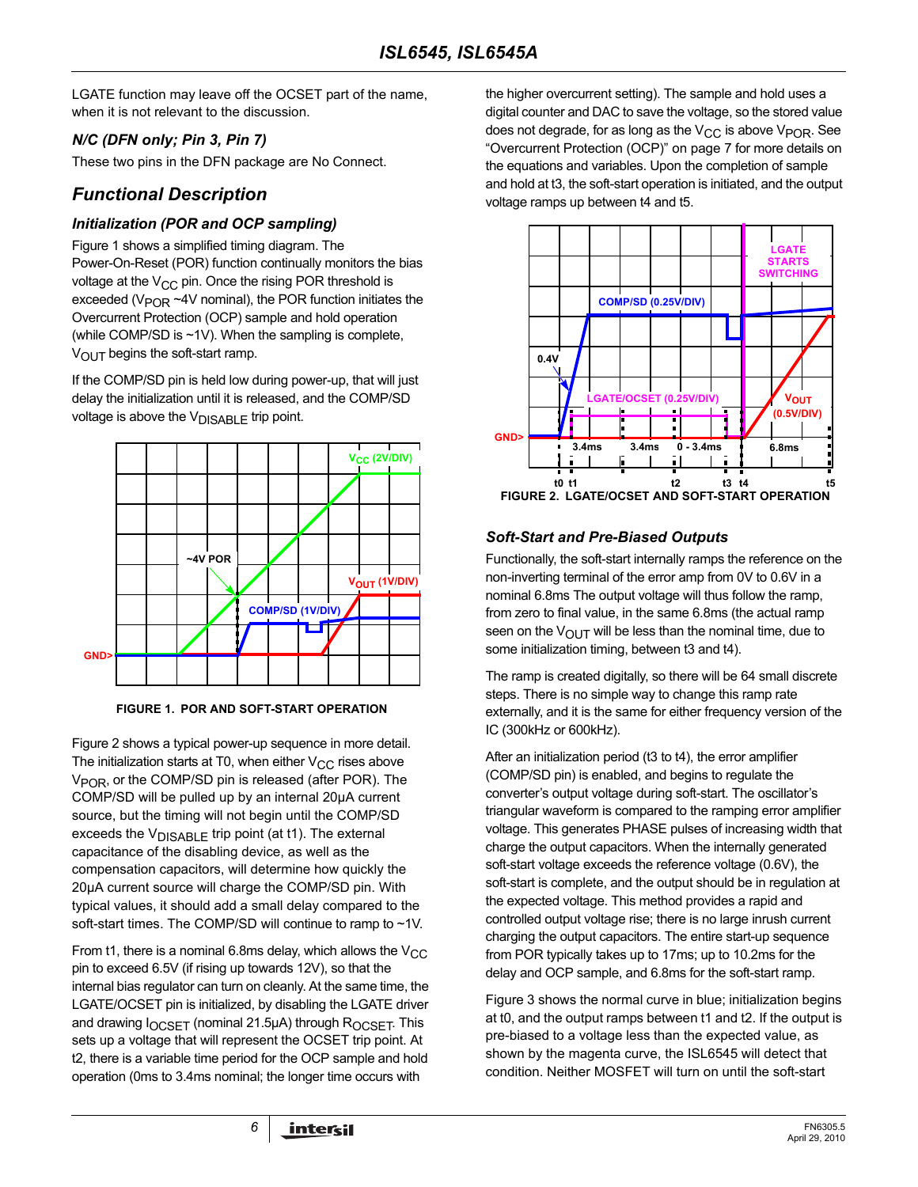LGATE function may leave off the OCSET part of the name, when it is not relevant to the discussion.

## *N/C (DFN only; Pin 3, Pin 7)*

These two pins in the DFN package are No Connect.

# *Functional Description*

#### *Initialization (POR and OCP sampling)*

Figure [1](#page-5-0) shows a simplified timing diagram. The Power-On-Reset (POR) function continually monitors the bias voltage at the  $V_{CC}$  pin. Once the rising POR threshold is exceeded ( $V_{\text{POR}}$  ~4V nominal), the POR function initiates the Overcurrent Protection (OCP) sample and hold operation (while COMP/SD is ~1V). When the sampling is complete,  $V<sub>OUT</sub>$  begins the soft-start ramp.

If the COMP/SD pin is held low during power-up, that will just delay the initialization until it is released, and the COMP/SD voltage is above the  $V_{DISABLE}$  trip point.



**FIGURE 1. POR AND SOFT-START OPERATION**

<span id="page-5-0"></span>Figure [2](#page-5-1) shows a typical power-up sequence in more detail. The initialization starts at T0, when either  $V_{CC}$  rises above  $V_{POR}$ , or the COMP/SD pin is released (after POR). The COMP/SD will be pulled up by an internal 20µA current source, but the timing will not begin until the COMP/SD exceeds the  $V_{DISARI}$   $F$  trip point (at t1). The external capacitance of the disabling device, as well as the compensation capacitors, will determine how quickly the 20µA current source will charge the COMP/SD pin. With typical values, it should add a small delay compared to the soft-start times. The COMP/SD will continue to ramp to ~1V.

From t1, there is a nominal 6.8ms delay, which allows the  $V_{CC}$ pin to exceed 6.5V (if rising up towards 12V), so that the internal bias regulator can turn on cleanly. At the same time, the LGATE/OCSET pin is initialized, by disabling the LGATE driver and drawing  $I_{OCSFT}$  (nominal 21.5µA) through  $R_{OCSFT}$ . This sets up a voltage that will represent the OCSET trip point. At t2, there is a variable time period for the OCP sample and hold operation (0ms to 3.4ms nominal; the longer time occurs with

the higher overcurrent setting). The sample and hold uses a digital counter and DAC to save the voltage, so the stored value does not degrade, for as long as the  $V_{CC}$  is above  $V_{POR}$ . See ["Overcurrent Protection \(OCP\)" on page 7](#page-6-0) for more details on the equations and variables. Upon the completion of sample and hold at t3, the soft-start operation is initiated, and the output voltage ramps up between t4 and t5.



# <span id="page-5-1"></span>*Soft-Start and Pre-Biased Outputs*

Functionally, the soft-start internally ramps the reference on the non-inverting terminal of the error amp from 0V to 0.6V in a nominal 6.8ms The output voltage will thus follow the ramp, from zero to final value, in the same 6.8ms (the actual ramp seen on the  $V_{\text{OUT}}$  will be less than the nominal time, due to some initialization timing, between t3 and t4).

The ramp is created digitally, so there will be 64 small discrete steps. There is no simple way to change this ramp rate externally, and it is the same for either frequency version of the IC (300kHz or 600kHz).

After an initialization period (t3 to t4), the error amplifier (COMP/SD pin) is enabled, and begins to regulate the converter's output voltage during soft-start. The oscillator's triangular waveform is compared to the ramping error amplifier voltage. This generates PHASE pulses of increasing width that charge the output capacitors. When the internally generated soft-start voltage exceeds the reference voltage (0.6V), the soft-start is complete, and the output should be in regulation at the expected voltage. This method provides a rapid and controlled output voltage rise; there is no large inrush current charging the output capacitors. The entire start-up sequence from POR typically takes up to 17ms; up to 10.2ms for the delay and OCP sample, and 6.8ms for the soft-start ramp.

Figure [3](#page-6-1) shows the normal curve in blue; initialization begins at t0, and the output ramps between t1 and t2. If the output is pre-biased to a voltage less than the expected value, as shown by the magenta curve, the ISL6545 will detect that condition. Neither MOSFET will turn on until the soft-start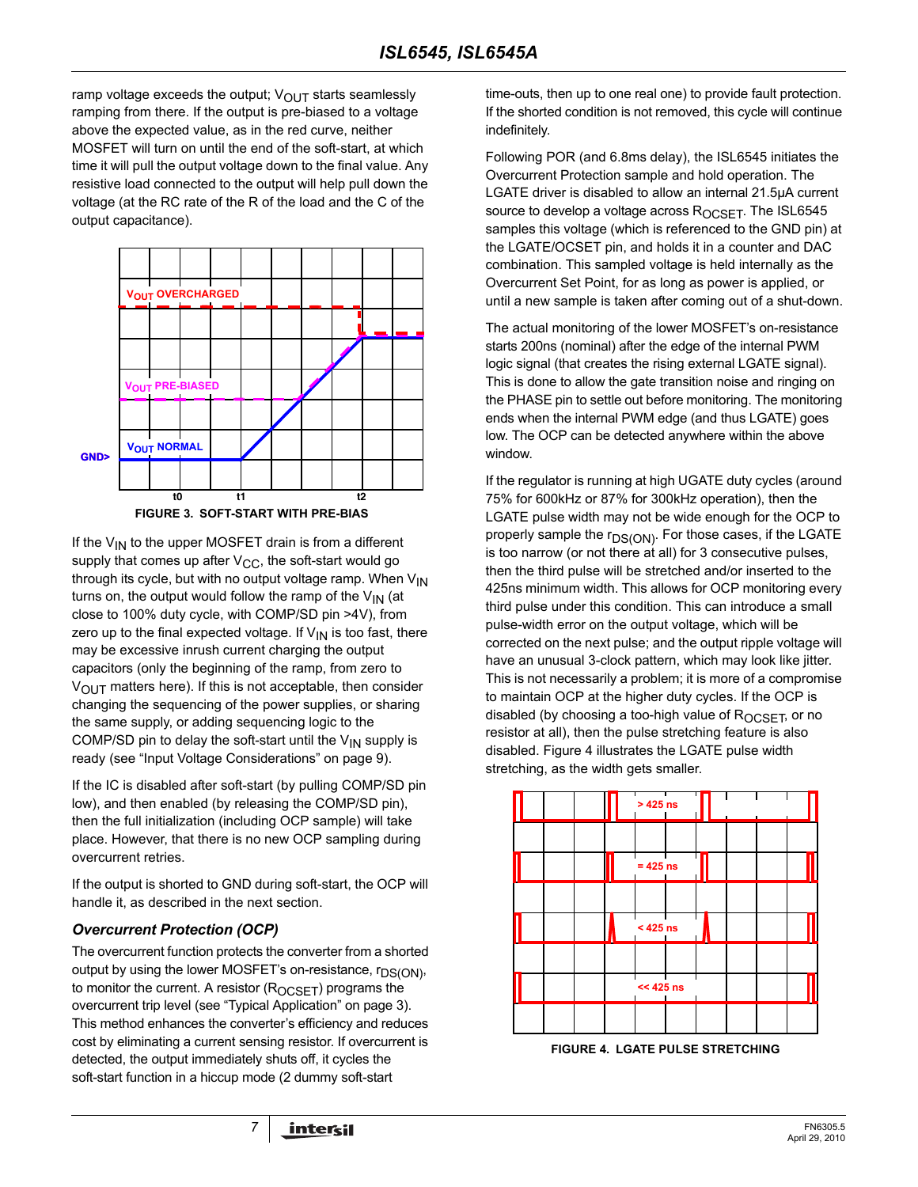ramp voltage exceeds the output;  $V_{\Omega UT}$  starts seamlessly ramping from there. If the output is pre-biased to a voltage above the expected value, as in the red curve, neither MOSFET will turn on until the end of the soft-start, at which time it will pull the output voltage down to the final value. Any resistive load connected to the output will help pull down the voltage (at the RC rate of the R of the load and the C of the output capacitance).



<span id="page-6-1"></span>If the  $V_{IN}$  to the upper MOSFET drain is from a different supply that comes up after  $V_{CC}$ , the soft-start would go through its cycle, but with no output voltage ramp. When  $V_{1N}$ turns on, the output would follow the ramp of the  $V_{IN}$  (at close to 100% duty cycle, with COMP/SD pin >4V), from zero up to the final expected voltage. If  $V_{IN}$  is too fast, there may be excessive inrush current charging the output capacitors (only the beginning of the ramp, from zero to  $V_{\text{OUT}}$  matters here). If this is not acceptable, then consider changing the sequencing of the power supplies, or sharing the same supply, or adding sequencing logic to the COMP/SD pin to delay the soft-start until the  $V_{IN}$  supply is ready (see ["Input Voltage Considerations" on page 9](#page-8-0)).

If the IC is disabled after soft-start (by pulling COMP/SD pin low), and then enabled (by releasing the COMP/SD pin), then the full initialization (including OCP sample) will take place. However, that there is no new OCP sampling during overcurrent retries.

If the output is shorted to GND during soft-start, the OCP will handle it, as described in the next section.

## <span id="page-6-0"></span>*Overcurrent Protection (OCP)*

The overcurrent function protects the converter from a shorted output by using the lower MOSFET's on-resistance, r<sub>DS(ON)</sub>, to monitor the current. A resistor  $(R_{OCSET})$  programs the overcurrent trip level (see ["Typical Application" on page 3](#page-2-0)). This method enhances the converter's efficiency and reduces cost by eliminating a current sensing resistor. If overcurrent is detected, the output immediately shuts off, it cycles the soft-start function in a hiccup mode (2 dummy soft-start

time-outs, then up to one real one) to provide fault protection. If the shorted condition is not removed, this cycle will continue indefinitely.

Following POR (and 6.8ms delay), the ISL6545 initiates the Overcurrent Protection sample and hold operation. The LGATE driver is disabled to allow an internal 21.5µA current source to develop a voltage across ROCSET. The ISL6545 samples this voltage (which is referenced to the GND pin) at the LGATE/OCSET pin, and holds it in a counter and DAC combination. This sampled voltage is held internally as the Overcurrent Set Point, for as long as power is applied, or until a new sample is taken after coming out of a shut-down.

The actual monitoring of the lower MOSFET's on-resistance starts 200ns (nominal) after the edge of the internal PWM logic signal (that creates the rising external LGATE signal). This is done to allow the gate transition noise and ringing on the PHASE pin to settle out before monitoring. The monitoring ends when the internal PWM edge (and thus LGATE) goes low. The OCP can be detected anywhere within the above window.

If the regulator is running at high UGATE duty cycles (around 75% for 600kHz or 87% for 300kHz operation), then the LGATE pulse width may not be wide enough for the OCP to properly sample the r<sub>DS(ON)</sub>. For those cases, if the LGATE is too narrow (or not there at all) for 3 consecutive pulses, then the third pulse will be stretched and/or inserted to the 425ns minimum width. This allows for OCP monitoring every third pulse under this condition. This can introduce a small pulse-width error on the output voltage, which will be corrected on the next pulse; and the output ripple voltage will have an unusual 3-clock pattern, which may look like jitter. This is not necessarily a problem; it is more of a compromise to maintain OCP at the higher duty cycles. If the OCP is disabled (by choosing a too-high value of  $R_{OCSFT}$ , or no resistor at all), then the pulse stretching feature is also disabled. Figure [4](#page-6-2) illustrates the LGATE pulse width stretching, as the width gets smaller.



<span id="page-6-2"></span>**FIGURE 4. LGATE PULSE STRETCHING**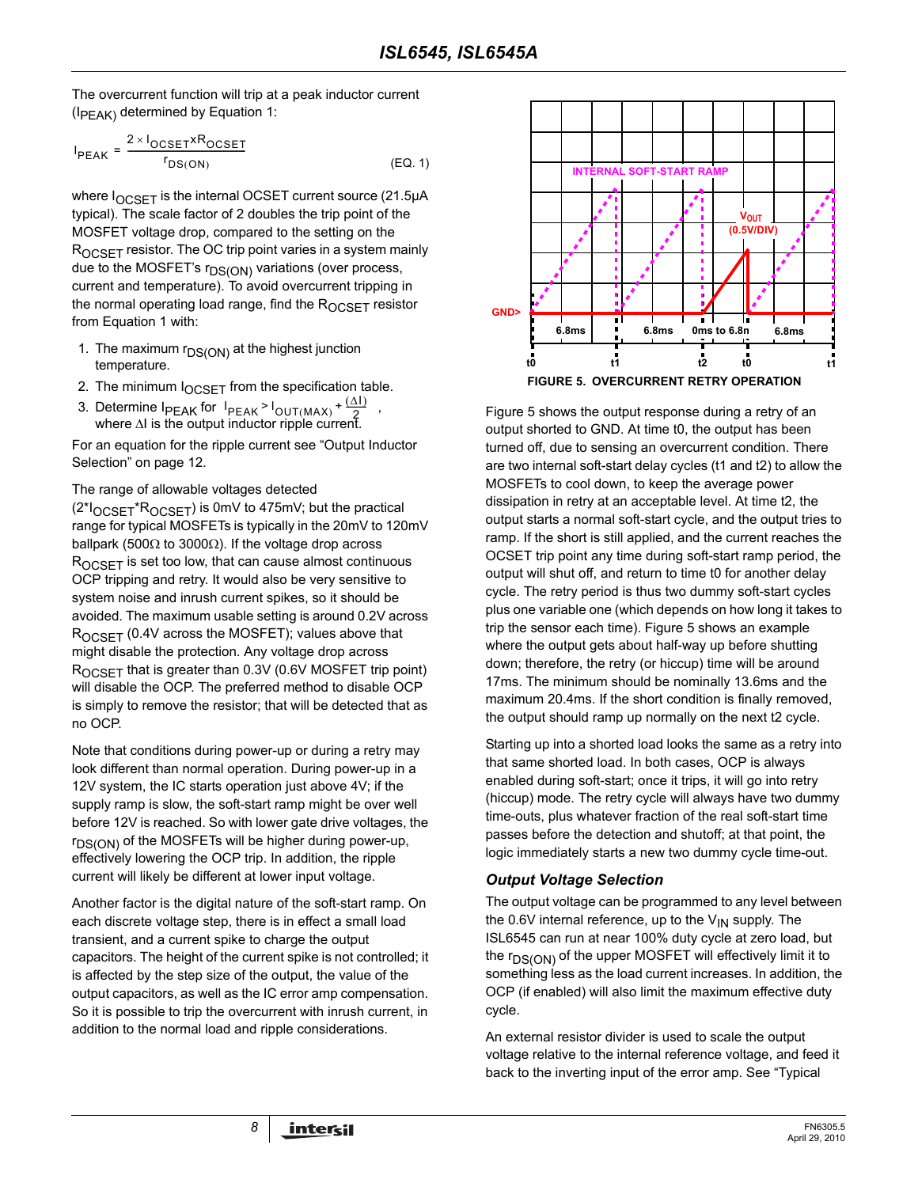The overcurrent function will trip at a peak inductor current  $(I_{PFAK})$  determined by Equation [1:](#page-7-1)

$$
I_{PEAK} = \frac{2 \times I_{OCSET} \times R_{OCSET}}{r_{DS(ON)}}
$$
 (EQ. 1)

where  $I_{OCSET}$  is the internal OCSET current source (21.5 $\mu$ A typical). The scale factor of 2 doubles the trip point of the MOSFET voltage drop, compared to the setting on the  $R_{OCSET}$  resistor. The OC trip point varies in a system mainly due to the MOSFET's  $r_{DS(ON)}$  variations (over process, current and temperature). To avoid overcurrent tripping in the normal operating load range, find the ROCSET resistor from Equation [1](#page-7-1) with:

- 1. The maximum  $r_{DS(ON)}$  at the highest junction temperature.
- 2. The minimum  $I_{OCSET}$  from the specification table.
- 3. Determine  $I_{PEAK}$  for  $I_{PEAK} > I_{OUT(MAX)} + \frac{(\Delta I)^2}{2}$ , where  $\Delta$ I is the output inductor ripple current.  $\frac{I_{\text{PEAK}}}{2}$ <sup>l</sup>out (MAX) +  $\frac{(\Delta I)}{2}$

For an equation for the ripple current see ["Output Inductor](#page-11-0)  [Selection" on page 12](#page-11-0).

The range of allowable voltages detected

(2\*IOCSET\*ROCSET) is 0mV to 475mV; but the practical range for typical MOSFETs is typically in the 20mV to 120mV ballpark (500 $\Omega$  to 3000 $\Omega$ ). If the voltage drop across ROCSET is set too low, that can cause almost continuous OCP tripping and retry. It would also be very sensitive to system noise and inrush current spikes, so it should be avoided. The maximum usable setting is around 0.2V across ROCSET (0.4V across the MOSFET); values above that might disable the protection. Any voltage drop across  $R_{OCSFT}$  that is greater than 0.3V (0.6V MOSFET trip point) will disable the OCP. The preferred method to disable OCP is simply to remove the resistor; that will be detected that as no OCP.

Note that conditions during power-up or during a retry may look different than normal operation. During power-up in a 12V system, the IC starts operation just above 4V; if the supply ramp is slow, the soft-start ramp might be over well before 12V is reached. So with lower gate drive voltages, the  $r_{DS(ON)}$  of the MOSFETs will be higher during power-up, effectively lowering the OCP trip. In addition, the ripple current will likely be different at lower input voltage.

Another factor is the digital nature of the soft-start ramp. On each discrete voltage step, there is in effect a small load transient, and a current spike to charge the output capacitors. The height of the current spike is not controlled; it is affected by the step size of the output, the value of the output capacitors, as well as the IC error amp compensation. So it is possible to trip the overcurrent with inrush current, in addition to the normal load and ripple considerations.

<span id="page-7-1"></span>

<span id="page-7-0"></span>Figure [5](#page-7-0) shows the output response during a retry of an output shorted to GND. At time t0, the output has been turned off, due to sensing an overcurrent condition. There are two internal soft-start delay cycles (t1 and t2) to allow the MOSFETs to cool down, to keep the average power dissipation in retry at an acceptable level. At time t2, the output starts a normal soft-start cycle, and the output tries to ramp. If the short is still applied, and the current reaches the OCSET trip point any time during soft-start ramp period, the output will shut off, and return to time t0 for another delay cycle. The retry period is thus two dummy soft-start cycles plus one variable one (which depends on how long it takes to trip the sensor each time). Figure [5](#page-7-0) shows an example where the output gets about half-way up before shutting down; therefore, the retry (or hiccup) time will be around 17ms. The minimum should be nominally 13.6ms and the maximum 20.4ms. If the short condition is finally removed, the output should ramp up normally on the next t2 cycle.

Starting up into a shorted load looks the same as a retry into that same shorted load. In both cases, OCP is always enabled during soft-start; once it trips, it will go into retry (hiccup) mode. The retry cycle will always have two dummy time-outs, plus whatever fraction of the real soft-start time passes before the detection and shutoff; at that point, the logic immediately starts a new two dummy cycle time-out.

#### *Output Voltage Selection*

The output voltage can be programmed to any level between the 0.6V internal reference, up to the  $V_{1N}$  supply. The ISL6545 can run at near 100% duty cycle at zero load, but the  $r_{DS(ON)}$  of the upper MOSFET will effectively limit it to something less as the load current increases. In addition, the OCP (if enabled) will also limit the maximum effective duty cycle.

An external resistor divider is used to scale the output voltage relative to the internal reference voltage, and feed it back to the inverting input of the error amp. See ["Typical](#page-2-0)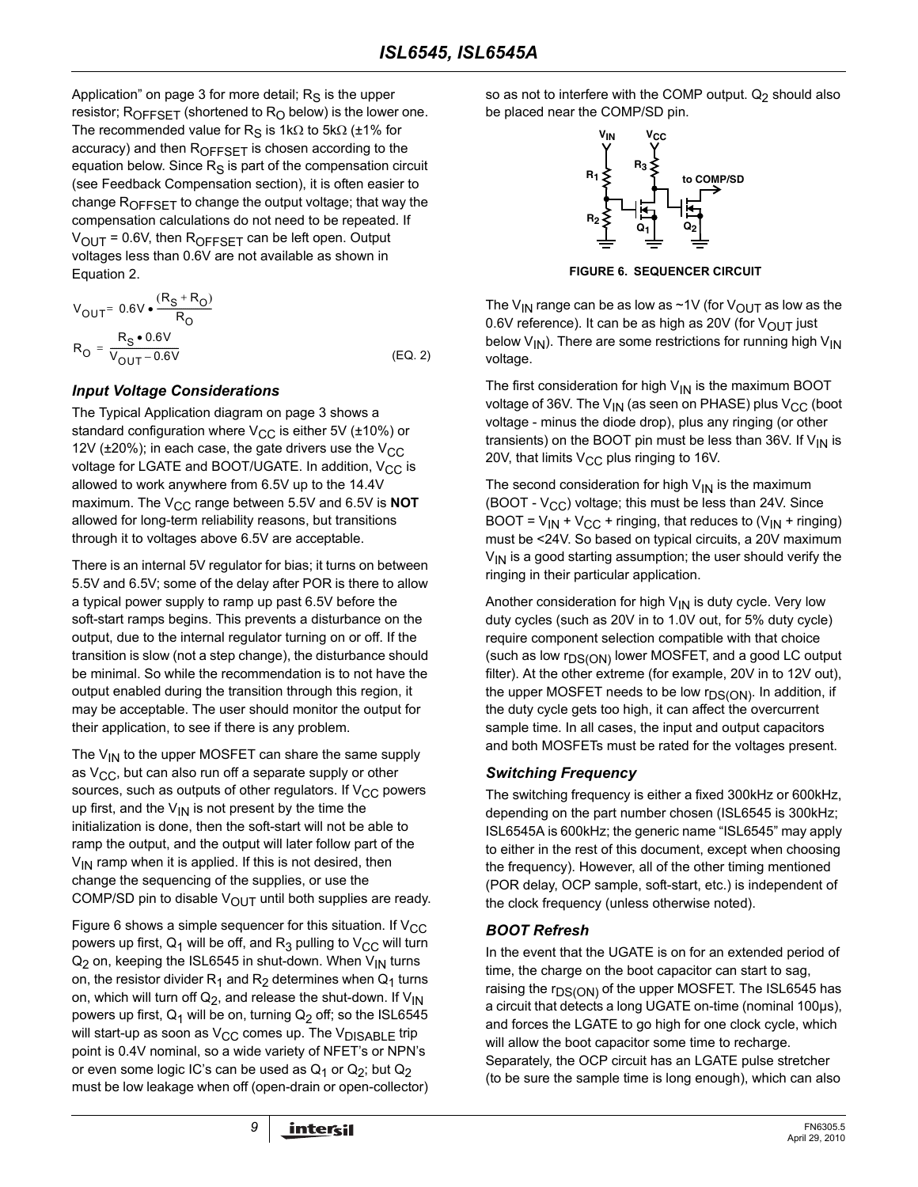[Application" on page 3](#page-2-0) for more detail;  $R<sub>S</sub>$  is the upper resistor;  $R_{OFFSET}$  (shortened to  $R_{O}$  below) is the lower one. The recommended value for R<sub>S</sub> is 1kΩ to 5kΩ (±1% for accuracy) and then R<sub>OFFSET</sub> is chosen according to the equation below. Since  $R<sub>S</sub>$  is part of the compensation circuit (see Feedback Compensation section), it is often easier to change  $R_{OFFSET}$  to change the output voltage; that way the compensation calculations do not need to be repeated. If  $V_{\text{OUT}}$  = 0.6V, then  $R_{\text{OFFSET}}$  can be left open. Output voltages less than 0.6V are not available as shown in Equation [2](#page-8-2).

$$
V_{OUT} = 0.6V \cdot \frac{(R_S + R_O)}{R_O}
$$
  
\n
$$
R_O = \frac{R_S \cdot 0.6V}{V_{OUT} - 0.6V}
$$
 (EQ. 2)

## <span id="page-8-0"></span>*Input Voltage Considerations*

The Typical Application diagram on [page 3](#page-2-0) shows a standard configuration where  $V_{CC}$  is either 5V ( $\pm$ 10%) or 12V ( $\pm$ 20%); in each case, the gate drivers use the V<sub>CC</sub> voltage for LGATE and BOOT/UGATE. In addition,  $V_{CC}$  is allowed to work anywhere from 6.5V up to the 14.4V maximum. The V<sub>CC</sub> range between 5.5V and 6.5V is **NOT** allowed for long-term reliability reasons, but transitions through it to voltages above 6.5V are acceptable.

There is an internal 5V regulator for bias; it turns on between 5.5V and 6.5V; some of the delay after POR is there to allow a typical power supply to ramp up past 6.5V before the soft-start ramps begins. This prevents a disturbance on the output, due to the internal regulator turning on or off. If the transition is slow (not a step change), the disturbance should be minimal. So while the recommendation is to not have the output enabled during the transition through this region, it may be acceptable. The user should monitor the output for their application, to see if there is any problem.

The  $V_{IN}$  to the upper MOSFET can share the same supply as  $V_{CC}$ , but can also run off a separate supply or other sources, such as outputs of other regulators. If  $V_{CC}$  powers up first, and the  $V_{1N}$  is not present by the time the initialization is done, then the soft-start will not be able to ramp the output, and the output will later follow part of the  $V_{IN}$  ramp when it is applied. If this is not desired, then change the sequencing of the supplies, or use the COMP/SD pin to disable  $V_{\text{OUT}}$  until both supplies are ready.

Figure [6](#page-8-1) shows a simple sequencer for this situation. If  $V_{CC}$ powers up first,  $Q_1$  will be off, and  $R_3$  pulling to  $V_{CC}$  will turn  $Q_2$  on, keeping the ISL6545 in shut-down. When  $V_{1N}$  turns on, the resistor divider  $R_1$  and  $R_2$  determines when  $Q_1$  turns on, which will turn off  $Q_2$ , and release the shut-down. If  $V_{1N}$ powers up first,  $Q_1$  will be on, turning  $Q_2$  off; so the ISL6545 will start-up as soon as  $V_{CC}$  comes up. The  $V_{DISABLE}$  trip point is 0.4V nominal, so a wide variety of NFET's or NPN's or even some logic IC's can be used as  $Q_1$  or  $Q_2$ ; but  $Q_2$ must be low leakage when off (open-drain or open-collector) so as not to interfere with the COMP output.  $Q_2$  should also be placed near the COMP/SD pin.



**FIGURE 6. SEQUENCER CIRCUIT**

<span id="page-8-1"></span>The V<sub>IN</sub> range can be as low as ~1V (for V<sub>OUT</sub> as low as the 0.6V reference). It can be as high as 20V (for  $V_{\text{OUT}}$  just below  $V_{1N}$ ). There are some restrictions for running high  $V_{1N}$ voltage.

<span id="page-8-2"></span>The first consideration for high  $V_{\text{IN}}$  is the maximum BOOT voltage of 36V. The  $V_{IN}$  (as seen on PHASE) plus  $V_{CC}$  (boot voltage - minus the diode drop), plus any ringing (or other transients) on the BOOT pin must be less than 36V. If  $V_{\text{IN}}$  is 20V, that limits  $V_{CC}$  plus ringing to 16V.

The second consideration for high  $V_{1N}$  is the maximum (BOOT -  $V_{CC}$ ) voltage; this must be less than 24V. Since BOOT =  $V_{IN}$  +  $V_{CC}$  + ringing, that reduces to ( $V_{IN}$  + ringing) must be <24V. So based on typical circuits, a 20V maximum  $V_{\text{IN}}$  is a good starting assumption; the user should verify the ringing in their particular application.

Another consideration for high  $V_{IN}$  is duty cycle. Very low duty cycles (such as 20V in to 1.0V out, for 5% duty cycle) require component selection compatible with that choice (such as low  $r_{DS(ON)}$  lower MOSFET, and a good LC output filter). At the other extreme (for example, 20V in to 12V out), the upper MOSFET needs to be low r<sub>DS(ON)</sub>. In addition, if the duty cycle gets too high, it can affect the overcurrent sample time. In all cases, the input and output capacitors and both MOSFETs must be rated for the voltages present.

## *Switching Frequency*

The switching frequency is either a fixed 300kHz or 600kHz, depending on the part number chosen (ISL6545 is 300kHz; ISL6545A is 600kHz; the generic name "ISL6545" may apply to either in the rest of this document, except when choosing the frequency). However, all of the other timing mentioned (POR delay, OCP sample, soft-start, etc.) is independent of the clock frequency (unless otherwise noted).

## *BOOT Refresh*

In the event that the UGATE is on for an extended period of time, the charge on the boot capacitor can start to sag, raising the r<sub>DS(ON)</sub> of the upper MOSFET. The ISL6545 has a circuit that detects a long UGATE on-time (nominal 100µs), and forces the LGATE to go high for one clock cycle, which will allow the boot capacitor some time to recharge. Separately, the OCP circuit has an LGATE pulse stretcher (to be sure the sample time is long enough), which can also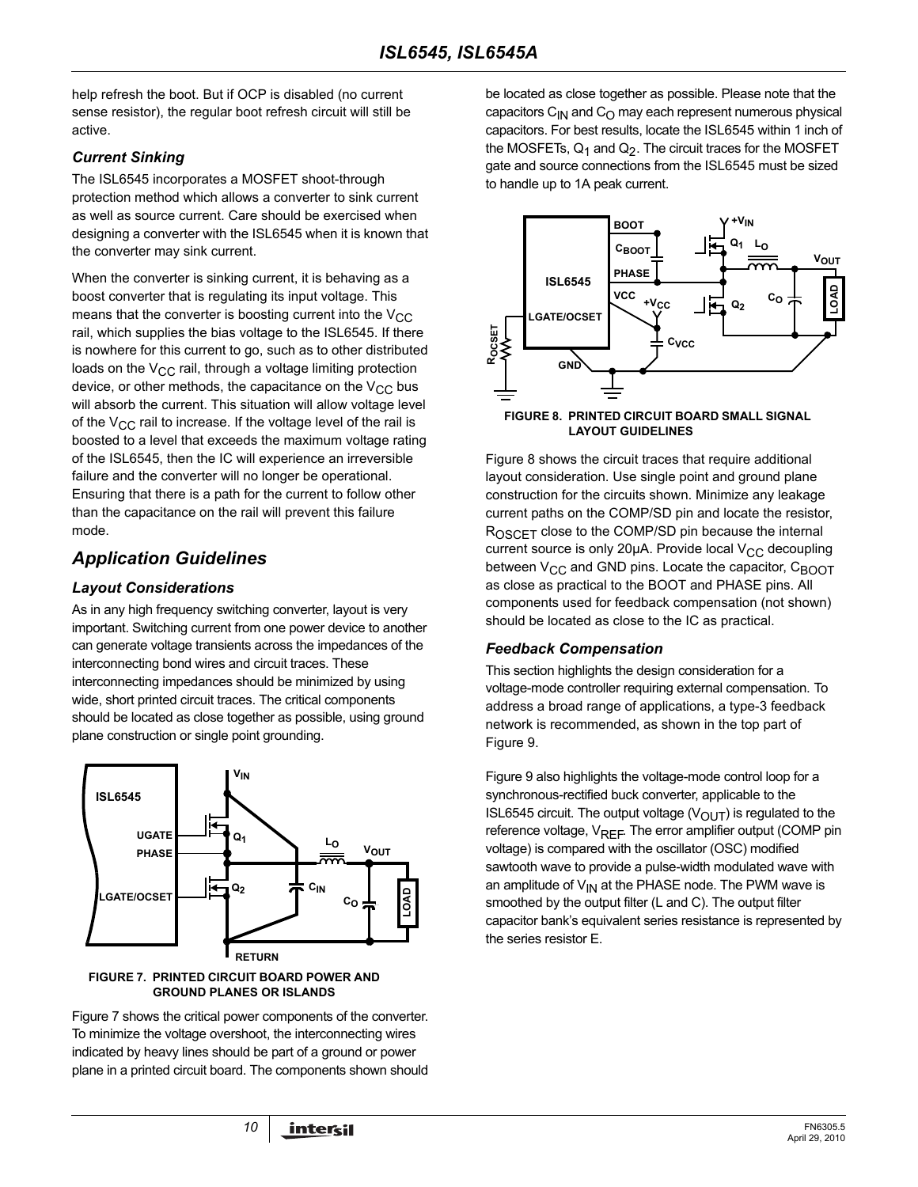help refresh the boot. But if OCP is disabled (no current sense resistor), the regular boot refresh circuit will still be active.

#### *Current Sinking*

The ISL6545 incorporates a MOSFET shoot-through protection method which allows a converter to sink current as well as source current. Care should be exercised when designing a converter with the ISL6545 when it is known that the converter may sink current.

When the converter is sinking current, it is behaving as a boost converter that is regulating its input voltage. This means that the converter is boosting current into the  $V_{CC}$ rail, which supplies the bias voltage to the ISL6545. If there is nowhere for this current to go, such as to other distributed loads on the  $V_{CC}$  rail, through a voltage limiting protection device, or other methods, the capacitance on the  $V_{CC}$  bus will absorb the current. This situation will allow voltage level of the  $V_{CC}$  rail to increase. If the voltage level of the rail is boosted to a level that exceeds the maximum voltage rating of the ISL6545, then the IC will experience an irreversible failure and the converter will no longer be operational. Ensuring that there is a path for the current to follow other than the capacitance on the rail will prevent this failure mode.

# *Application Guidelines*

#### *Layout Considerations*

As in any high frequency switching converter, layout is very important. Switching current from one power device to another can generate voltage transients across the impedances of the interconnecting bond wires and circuit traces. These interconnecting impedances should be minimized by using wide, short printed circuit traces. The critical components should be located as close together as possible, using ground plane construction or single point grounding.



#### <span id="page-9-0"></span>**FIGURE 7. PRINTED CIRCUIT BOARD POWER AND GROUND PLANES OR ISLANDS**

Figure [7](#page-9-0) shows the critical power components of the converter. To minimize the voltage overshoot, the interconnecting wires indicated by heavy lines should be part of a ground or power plane in a printed circuit board. The components shown should be located as close together as possible. Please note that the capacitors  $C_{1N}$  and  $C_{O}$  may each represent numerous physical capacitors. For best results, locate the ISL6545 within 1 inch of the MOSFETs,  $Q_1$  and  $Q_2$ . The circuit traces for the MOSFET gate and source connections from the ISL6545 must be sized to handle up to 1A peak current.



<span id="page-9-1"></span>**FIGURE 8. PRINTED CIRCUIT BOARD SMALL SIGNAL LAYOUT GUIDELINES**

Figure [8](#page-9-1) shows the circuit traces that require additional layout consideration. Use single point and ground plane construction for the circuits shown. Minimize any leakage current paths on the COMP/SD pin and locate the resistor, ROSCET close to the COMP/SD pin because the internal current source is only 20 $\mu$ A. Provide local  $V_{CC}$  decoupling between V<sub>CC</sub> and GND pins. Locate the capacitor, C<sub>BOOT</sub> as close as practical to the BOOT and PHASE pins. All components used for feedback compensation (not shown) should be located as close to the IC as practical.

#### *Feedback Compensation*

This section highlights the design consideration for a voltage-mode controller requiring external compensation. To address a broad range of applications, a type-3 feedback network is recommended, as shown in the top part of Figure [9.](#page-10-0)

Figure [9](#page-10-0) also highlights the voltage-mode control loop for a synchronous-rectified buck converter, applicable to the ISL6545 circuit. The output voltage  $(V<sub>OUT</sub>)$  is regulated to the reference voltage, VREF. The error amplifier output (COMP pin voltage) is compared with the oscillator (OSC) modified sawtooth wave to provide a pulse-width modulated wave with an amplitude of  $V_{1N}$  at the PHASE node. The PWM wave is smoothed by the output filter (L and C). The output filter capacitor bank's equivalent series resistance is represented by the series resistor E.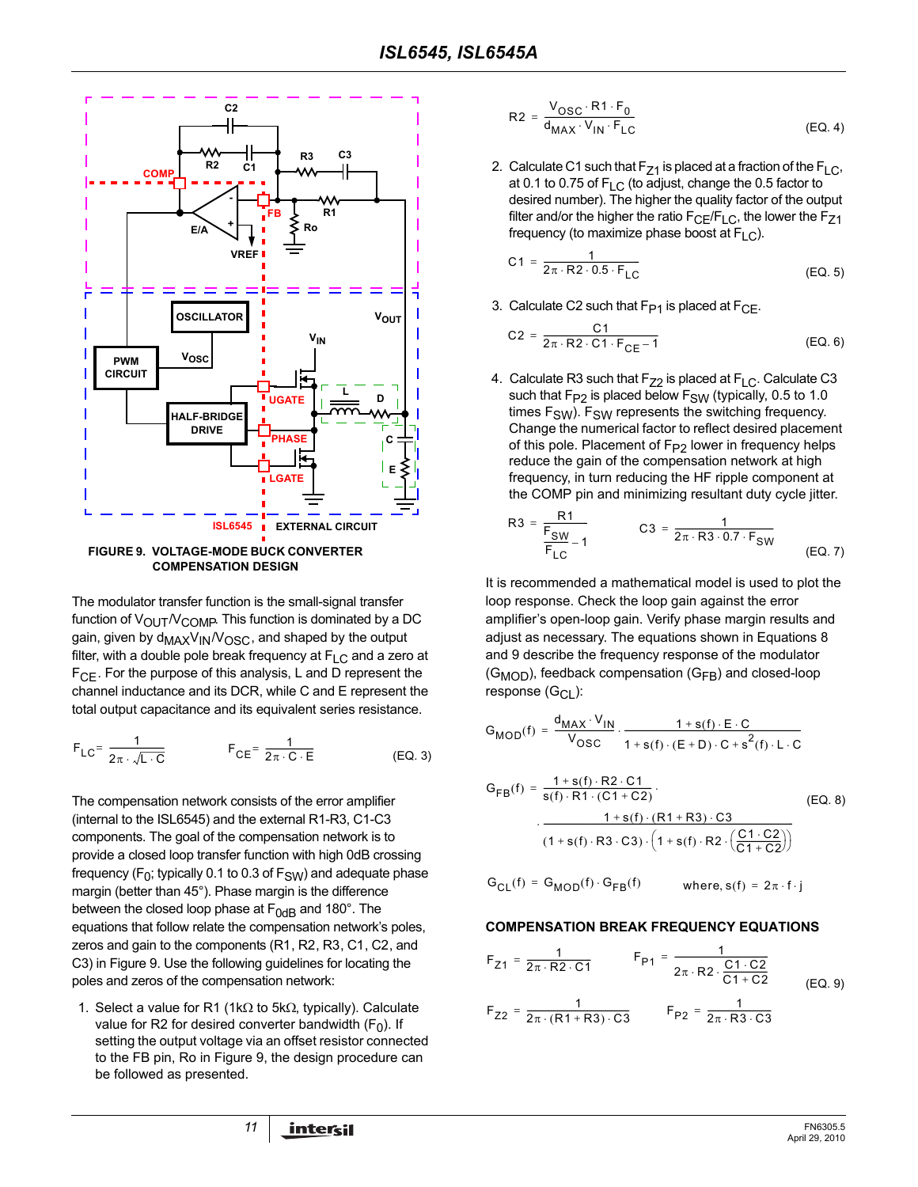

<span id="page-10-0"></span>**FIGURE 9. VOLTAGE-MODE BUCK CONVERTER COMPENSATION DESIGN**

The modulator transfer function is the small-signal transfer function of  $V_{\text{OUT}}/V_{\text{COMP}}$ . This function is dominated by a DC gain, given by d<sub>MAX</sub>V<sub>IN</sub>/V<sub>OSC</sub>, and shaped by the output filter, with a double pole break frequency at  $F_{\text{LC}}$  and a zero at  $F_{\text{CF}}$ . For the purpose of this analysis, L and D represent the channel inductance and its DCR, while C and E represent the total output capacitance and its equivalent series resistance.

$$
F_{LC} = \frac{1}{2\pi \cdot \sqrt{L \cdot C}} \qquad F_{CE} = \frac{1}{2\pi \cdot C \cdot E}
$$
 (EQ. 3)

The compensation network consists of the error amplifier (internal to the ISL6545) and the external R1-R3, C1-C3 components. The goal of the compensation network is to provide a closed loop transfer function with high 0dB crossing frequency ( $F_0$ ; typically 0.1 to 0.3 of  $F_{SW}$ ) and adequate phase margin (better than 45°). Phase margin is the difference between the closed loop phase at  $F<sub>0dB</sub>$  and 180°. The equations that follow relate the compensation network's poles, zeros and gain to the components (R1, R2, R3, C1, C2, and C3) in Figure [9.](#page-10-0) Use the following guidelines for locating the poles and zeros of the compensation network:

1. Select a value for R1 (1kΩ to 5kΩ, typically). Calculate value for R2 for desired converter bandwidth  $(F_0)$ . If setting the output voltage via an offset resistor connected to the FB pin, Ro in Figure [9,](#page-10-0) the design procedure can be followed as presented.

$$
R2 = \frac{V_{OSC} \cdot R1 \cdot F_0}{d_{MAX} \cdot V_{IN} \cdot F_{LC}}
$$
 (EQ.4)

2. Calculate C1 such that  $F_{Z1}$  is placed at a fraction of the  $F_{LC}$ , at 0.1 to 0.75 of  $F_{LC}$  (to adjust, change the 0.5 factor to desired number). The higher the quality factor of the output filter and/or the higher the ratio  $F_{CE}/F_{LC}$ , the lower the  $F_{Z1}$ frequency (to maximize phase boost at  $F<sub>L</sub>$ ).

$$
C1 = \frac{1}{2\pi \cdot R2 \cdot 0.5 \cdot F_{LC}}
$$
 (EQ. 5)

3. Calculate C2 such that  $F_{P1}$  is placed at  $F_{CF}$ .

$$
C2 = \frac{C1}{2\pi \cdot R2 \cdot C1 \cdot F_{CE} - 1}
$$
 (EQ. 6)

4. Calculate R3 such that  $F_{Z2}$  is placed at  $F_{LC}$ . Calculate C3 such that  $F_{P2}$  is placed below  $F_{SW}$  (typically, 0.5 to 1.0 times  $F_{SW}$ ).  $F_{SW}$  represents the switching frequency. Change the numerical factor to reflect desired placement of this pole. Placement of  $F_{P2}$  lower in frequency helps reduce the gain of the compensation network at high frequency, in turn reducing the HF ripple component at the COMP pin and minimizing resultant duty cycle jitter.

R3 = 
$$
\frac{R1}{F_{SW}} - 1
$$
 C3 =  $\frac{1}{2\pi \cdot R3 \cdot 0.7 \cdot F_{SW}}$  (EQ. 7)

It is recommended a mathematical model is used to plot the loop response. Check the loop gain against the error amplifier's open-loop gain. Verify phase margin results and adjust as necessary. The equations shown in Equations [8](#page-10-1)  and [9](#page-10-2) describe the frequency response of the modulator  $(G_{MOD})$ , feedback compensation  $(G_{FB})$  and closed-loop response  $(G_{Cl})$ :

$$
G_{MOD}(f) = \frac{d_{MAX} \cdot V_{IN}}{V_{OSC}} \cdot \frac{1 + s(f) \cdot E \cdot C}{1 + s(f) \cdot (E + D) \cdot C + s^{2}(f) \cdot L \cdot C}
$$

<span id="page-10-1"></span>
$$
G_{FB}(f) = \frac{1 + s(f) \cdot R2 \cdot C1}{s(f) \cdot R1 \cdot (C1 + C2)} \cdot (EQ. 8)
$$
  
 
$$
\cdot \frac{1 + s(f) \cdot (R1 + R3) \cdot C3}{(1 + s(f) \cdot R3 \cdot C3) \cdot (1 + s(f) \cdot R2 \cdot (\frac{C1 \cdot C2}{C1 + C2}))}
$$

$$
G_{CL}(f) = G_{MOD}(f) \cdot G_{FB}(f) \qquad \text{where, } s(f) = 2\pi \cdot f \cdot j
$$

#### **COMPENSATION BREAK FREQUENCY EQUATIONS**

<span id="page-10-2"></span>
$$
F_{Z1} = \frac{1}{2\pi \cdot R2 \cdot C1} \qquad F_{P1} = \frac{1}{2\pi \cdot R2 \cdot \frac{C1 \cdot C2}{C1 + C2}}
$$
  
\n
$$
F_{Z2} = \frac{1}{2\pi \cdot (R1 + R3) \cdot C3} \qquad F_{P2} = \frac{1}{2\pi \cdot R3 \cdot C3}
$$
  
\n(EQ. 9)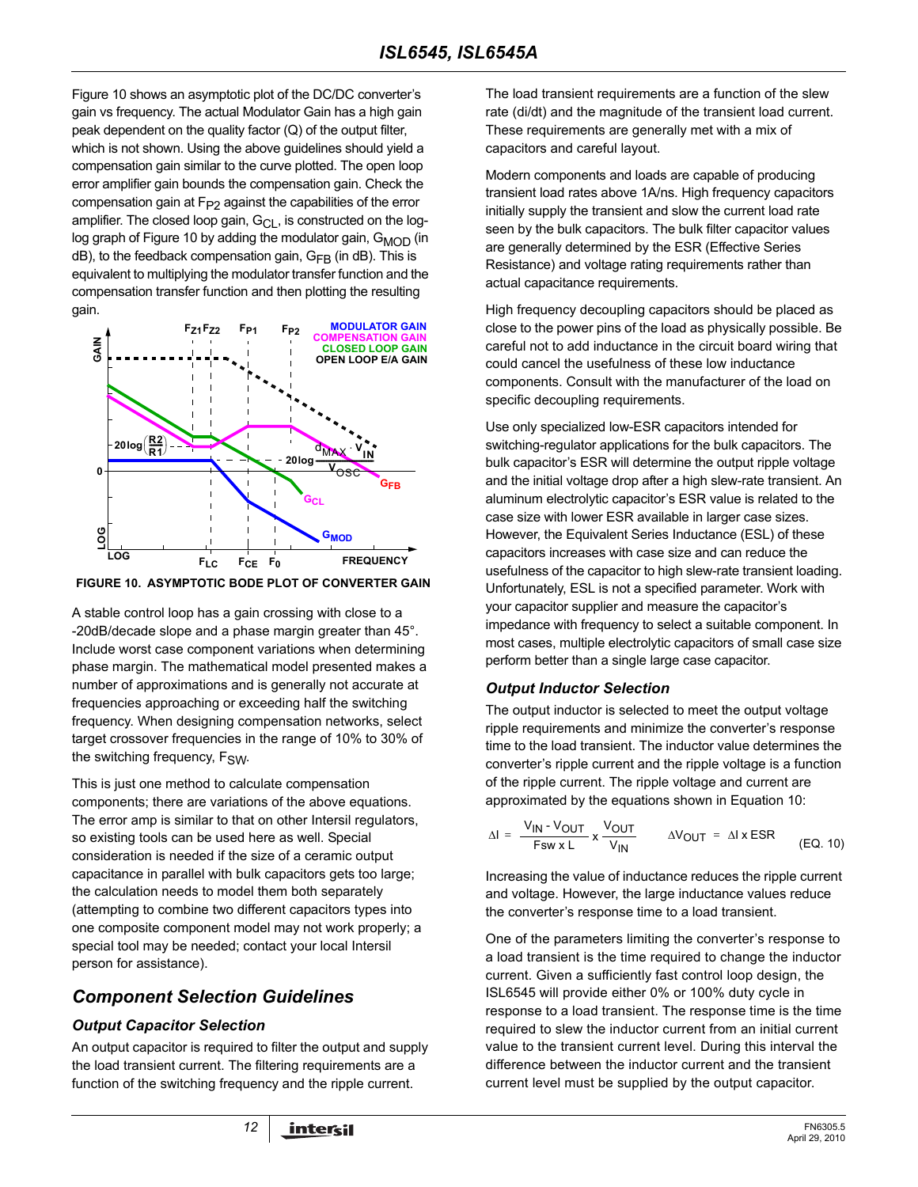Figure [10](#page-11-1) shows an asymptotic plot of the DC/DC converter's gain vs frequency. The actual Modulator Gain has a high gain peak dependent on the quality factor (Q) of the output filter, which is not shown. Using the above guidelines should yield a compensation gain similar to the curve plotted. The open loop error amplifier gain bounds the compensation gain. Check the compensation gain at  $F_{P2}$  against the capabilities of the error amplifier. The closed loop gain,  $G_{Cl}$ , is constructed on the log-log graph of Figure [10](#page-11-1) by adding the modulator gain, G<sub>MOD</sub> (in  $dB$ ), to the feedback compensation gain,  $G_{FB}$  (in dB). This is equivalent to multiplying the modulator transfer function and the compensation transfer function and then plotting the resulting gain.



<span id="page-11-1"></span>**FIGURE 10. ASYMPTOTIC BODE PLOT OF CONVERTER GAIN**

A stable control loop has a gain crossing with close to a -20dB/decade slope and a phase margin greater than 45°. Include worst case component variations when determining phase margin. The mathematical model presented makes a number of approximations and is generally not accurate at frequencies approaching or exceeding half the switching frequency. When designing compensation networks, select target crossover frequencies in the range of 10% to 30% of the switching frequency, F<sub>SW</sub>.

This is just one method to calculate compensation components; there are variations of the above equations. The error amp is similar to that on other Intersil regulators, so existing tools can be used here as well. Special consideration is needed if the size of a ceramic output capacitance in parallel with bulk capacitors gets too large; the calculation needs to model them both separately (attempting to combine two different capacitors types into one composite component model may not work properly; a special tool may be needed; contact your local Intersil person for assistance).

# *Component Selection Guidelines*

## *Output Capacitor Selection*

An output capacitor is required to filter the output and supply the load transient current. The filtering requirements are a function of the switching frequency and the ripple current.

The load transient requirements are a function of the slew rate (di/dt) and the magnitude of the transient load current. These requirements are generally met with a mix of capacitors and careful layout.

Modern components and loads are capable of producing transient load rates above 1A/ns. High frequency capacitors initially supply the transient and slow the current load rate seen by the bulk capacitors. The bulk filter capacitor values are generally determined by the ESR (Effective Series Resistance) and voltage rating requirements rather than actual capacitance requirements.

High frequency decoupling capacitors should be placed as close to the power pins of the load as physically possible. Be careful not to add inductance in the circuit board wiring that could cancel the usefulness of these low inductance components. Consult with the manufacturer of the load on specific decoupling requirements.

Use only specialized low-ESR capacitors intended for switching-regulator applications for the bulk capacitors. The bulk capacitor's ESR will determine the output ripple voltage and the initial voltage drop after a high slew-rate transient. An aluminum electrolytic capacitor's ESR value is related to the case size with lower ESR available in larger case sizes. However, the Equivalent Series Inductance (ESL) of these capacitors increases with case size and can reduce the usefulness of the capacitor to high slew-rate transient loading. Unfortunately, ESL is not a specified parameter. Work with your capacitor supplier and measure the capacitor's impedance with frequency to select a suitable component. In most cases, multiple electrolytic capacitors of small case size perform better than a single large case capacitor.

## <span id="page-11-0"></span>*Output Inductor Selection*

The output inductor is selected to meet the output voltage ripple requirements and minimize the converter's response time to the load transient. The inductor value determines the converter's ripple current and the ripple voltage is a function of the ripple current. The ripple voltage and current are approximated by the equations shown in Equation [10](#page-11-2):

<span id="page-11-2"></span>
$$
\Delta I = \frac{V_{IN} - V_{OUT}}{Fsw \times L} \times \frac{V_{OUT}}{V_{IN}} \qquad \Delta V_{OUT} = \Delta I \times ESR \qquad (EQ. 10)
$$

Increasing the value of inductance reduces the ripple current and voltage. However, the large inductance values reduce the converter's response time to a load transient.

One of the parameters limiting the converter's response to a load transient is the time required to change the inductor current. Given a sufficiently fast control loop design, the ISL6545 will provide either 0% or 100% duty cycle in response to a load transient. The response time is the time required to slew the inductor current from an initial current value to the transient current level. During this interval the difference between the inductor current and the transient current level must be supplied by the output capacitor.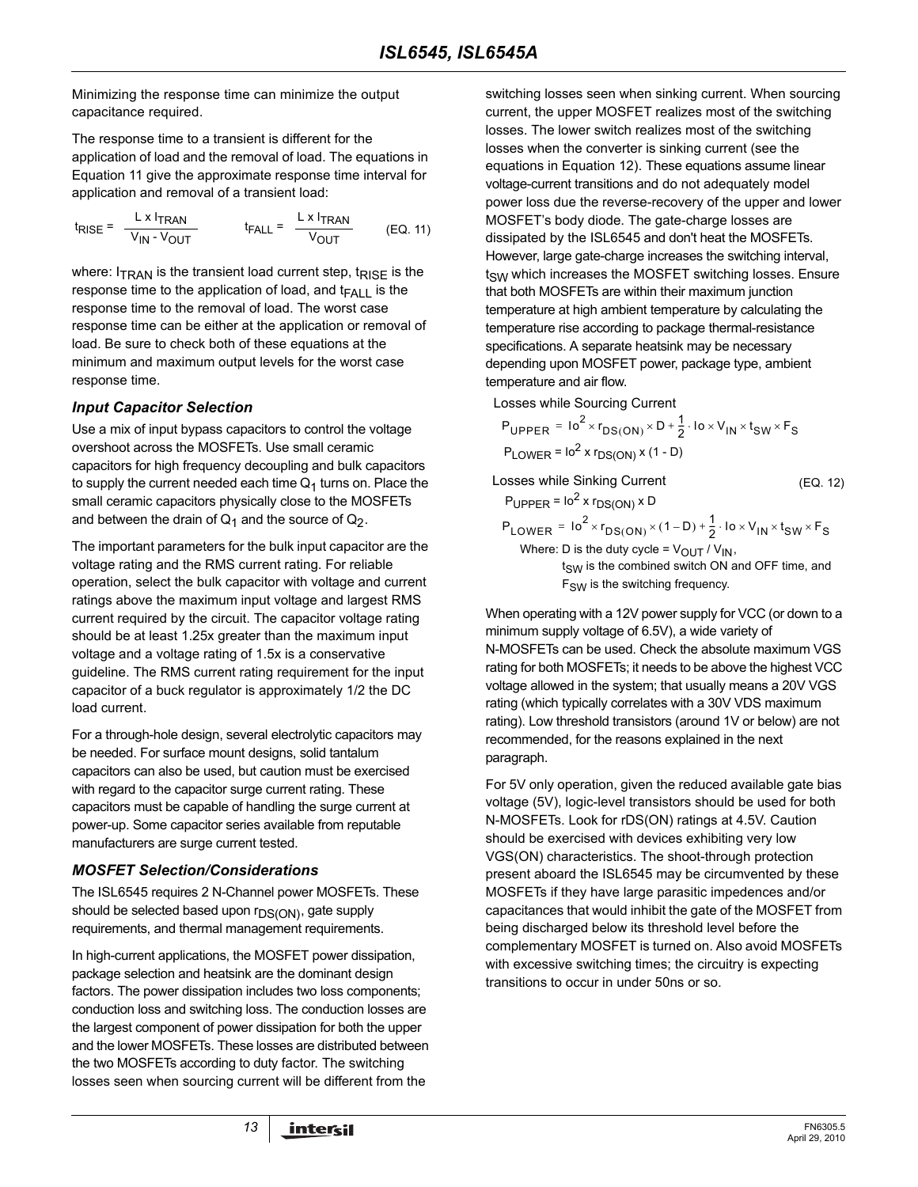Minimizing the response time can minimize the output capacitance required.

The response time to a transient is different for the application of load and the removal of load. The equations in Equation [11](#page-12-0) give the approximate response time interval for application and removal of a transient load:

$$
t_{RISE} = \frac{L \times I_{TRAN}}{V_{IN} - V_{OUT}} \qquad t_{FALL} = \frac{L \times I_{TRAN}}{V_{OUT}} \qquad (EQ. 11)
$$

where:  $I_{TRAN}$  is the transient load current step,  $t_{RISE}$  is the response time to the application of load, and  $t_{FA|l}$  is the response time to the removal of load. The worst case response time can be either at the application or removal of load. Be sure to check both of these equations at the minimum and maximum output levels for the worst case response time.

#### *Input Capacitor Selection*

Use a mix of input bypass capacitors to control the voltage overshoot across the MOSFETs. Use small ceramic capacitors for high frequency decoupling and bulk capacitors to supply the current needed each time  $Q_1$  turns on. Place the small ceramic capacitors physically close to the MOSFETs and between the drain of  $Q_1$  and the source of  $Q_2$ .

The important parameters for the bulk input capacitor are the voltage rating and the RMS current rating. For reliable operation, select the bulk capacitor with voltage and current ratings above the maximum input voltage and largest RMS current required by the circuit. The capacitor voltage rating should be at least 1.25x greater than the maximum input voltage and a voltage rating of 1.5x is a conservative guideline. The RMS current rating requirement for the input capacitor of a buck regulator is approximately 1/2 the DC load current.

For a through-hole design, several electrolytic capacitors may be needed. For surface mount designs, solid tantalum capacitors can also be used, but caution must be exercised with regard to the capacitor surge current rating. These capacitors must be capable of handling the surge current at power-up. Some capacitor series available from reputable manufacturers are surge current tested.

## *MOSFET Selection/Considerations*

The ISL6545 requires 2 N-Channel power MOSFETs. These should be selected based upon  $r_{DS(ON)}$ , gate supply requirements, and thermal management requirements.

In high-current applications, the MOSFET power dissipation, package selection and heatsink are the dominant design factors. The power dissipation includes two loss components; conduction loss and switching loss. The conduction losses are the largest component of power dissipation for both the upper and the lower MOSFETs. These losses are distributed between the two MOSFETs according to duty factor. The switching losses seen when sourcing current will be different from the

<span id="page-12-0"></span>switching losses seen when sinking current. When sourcing current, the upper MOSFET realizes most of the switching losses. The lower switch realizes most of the switching losses when the converter is sinking current (see the equations in Equation [12\)](#page-12-1). These equations assume linear voltage-current transitions and do not adequately model power loss due the reverse-recovery of the upper and lower MOSFET's body diode. The gate-charge losses are dissipated by the ISL6545 and don't heat the MOSFETs. However, large gate-charge increases the switching interval, t<sub>SW</sub> which increases the MOSFET switching losses. Ensure that both MOSFETs are within their maximum junction temperature at high ambient temperature by calculating the temperature rise according to package thermal-resistance specifications. A separate heatsink may be necessary depending upon MOSFET power, package type, ambient temperature and air flow.

Losses while Sourcing Current

$$
P_{\text{UPPER}} = 10^{2} \times r_{\text{DS}(\text{ON})} \times D + \frac{1}{2} \cdot 10 \times V_{\text{IN}} \times t_{\text{SW}} \times F_{\text{S}}
$$
  
 
$$
P_{\text{LOWER}} = 10^{2} \times r_{\text{DS}(\text{ON})} \times (1 - D)
$$

Losses while Sinking Current

 $P_{\text{UPPER}} = 10^2$  x  $r_{DS(ON)}$  x D

$$
P_{LOWER} = 10^{2} \times r_{DS(ON)} \times (1 - D) + \frac{1}{2} \cdot 10 \times V_{IN} \times t_{SW} \times F_{S}
$$
  
Where: D is the duty cycle =  $V_{OUT} / V_{IN}$ ,

 $t_{SW}$  is the combined switch ON and OFF time, and F<sub>SW</sub> is the switching frequency.

When operating with a 12V power supply for VCC (or down to a minimum supply voltage of 6.5V), a wide variety of N-MOSFETs can be used. Check the absolute maximum VGS rating for both MOSFETs; it needs to be above the highest VCC voltage allowed in the system; that usually means a 20V VGS rating (which typically correlates with a 30V VDS maximum rating). Low threshold transistors (around 1V or below) are not recommended, for the reasons explained in the next paragraph.

For 5V only operation, given the reduced available gate bias voltage (5V), logic-level transistors should be used for both N-MOSFETs. Look for rDS(ON) ratings at 4.5V. Caution should be exercised with devices exhibiting very low VGS(ON) characteristics. The shoot-through protection present aboard the ISL6545 may be circumvented by these MOSFETs if they have large parasitic impedences and/or capacitances that would inhibit the gate of the MOSFET from being discharged below its threshold level before the complementary MOSFET is turned on. Also avoid MOSFETs with excessive switching times; the circuitry is expecting transitions to occur in under 50ns or so.

<span id="page-12-1"></span>(EQ. 12)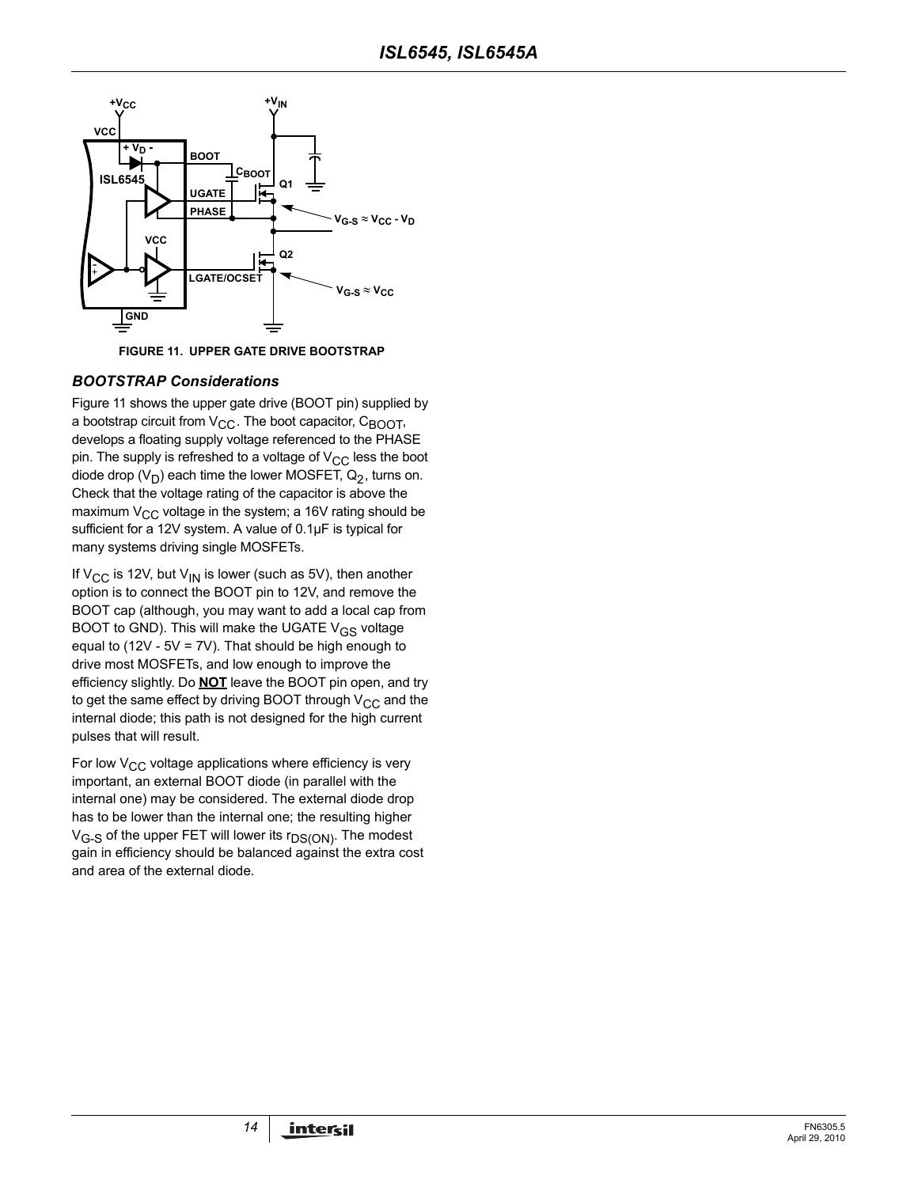

**FIGURE 11. UPPER GATE DRIVE BOOTSTRAP**

#### <span id="page-13-0"></span>*BOOTSTRAP Considerations*

Figure [11](#page-13-0) shows the upper gate drive (BOOT pin) supplied by a bootstrap circuit from  $V_{CC}$ . The boot capacitor,  $C_{BODT}$ , develops a floating supply voltage referenced to the PHASE pin. The supply is refreshed to a voltage of  $V_{CC}$  less the boot diode drop  $(V_D)$  each time the lower MOSFET,  $Q_2$ , turns on. Check that the voltage rating of the capacitor is above the maximum  $V_{CC}$  voltage in the system; a 16V rating should be sufficient for a 12V system. A value of 0.1µF is typical for many systems driving single MOSFETs.

If  $V_{CC}$  is 12V, but  $V_{IN}$  is lower (such as 5V), then another option is to connect the BOOT pin to 12V, and remove the BOOT cap (although, you may want to add a local cap from BOOT to GND). This will make the UGATE  $V_{GS}$  voltage equal to (12V -  $5V = 7V$ ). That should be high enough to drive most MOSFETs, and low enough to improve the efficiency slightly. Do **NOT** leave the BOOT pin open, and try to get the same effect by driving BOOT through  $V_{CC}$  and the internal diode; this path is not designed for the high current pulses that will result.

For low  $V_{CC}$  voltage applications where efficiency is very important, an external BOOT diode (in parallel with the internal one) may be considered. The external diode drop has to be lower than the internal one; the resulting higher  $V_{G-S}$  of the upper FET will lower its  $r_{DS(ON)}$ . The modest gain in efficiency should be balanced against the extra cost and area of the external diode.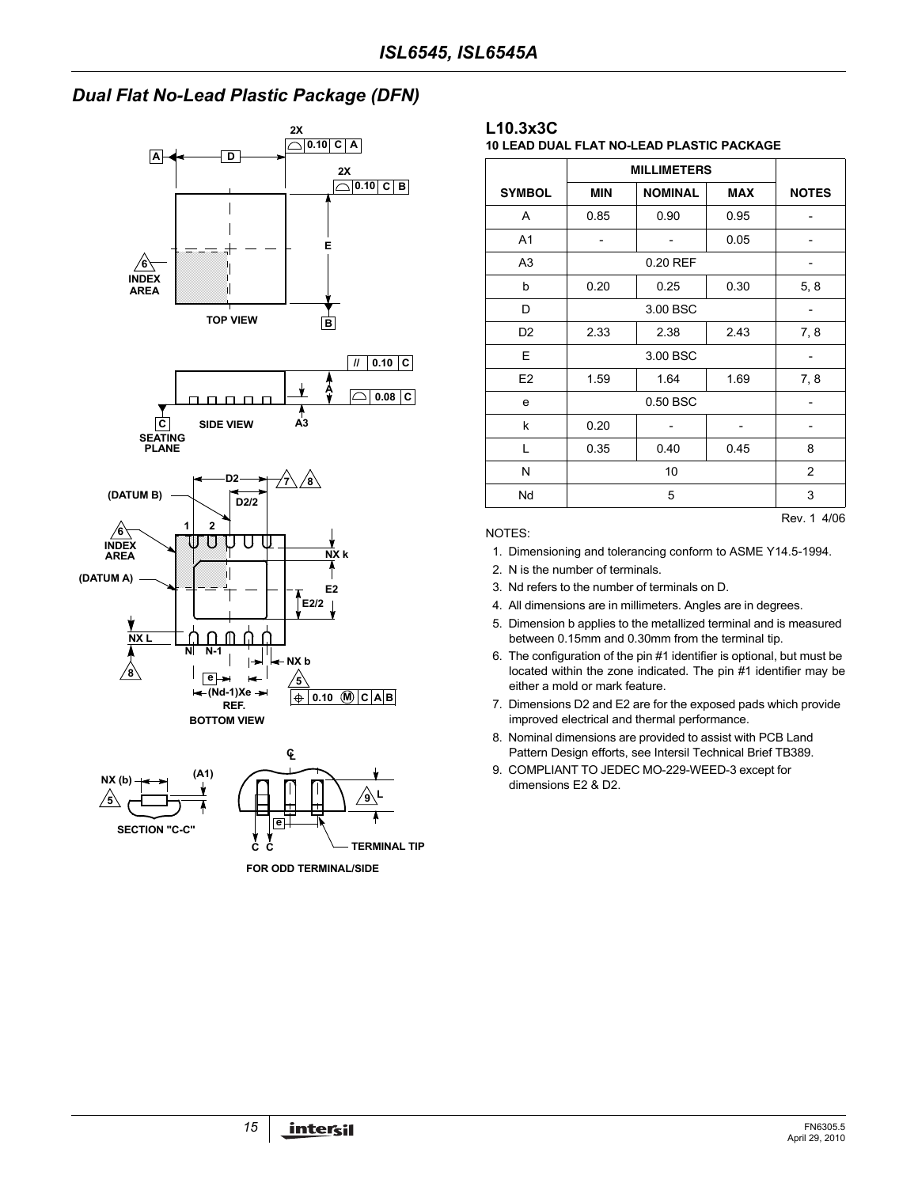# *Dual Flat No-Lead Plastic Package (DFN)*



**FOR ODD TERMINAL/SIDE**

#### **L10.3x3C**

**10 LEAD DUAL FLAT NO-LEAD PLASTIC PACKAGE**

|                | <b>MILLIMETERS</b>                         |                |              |     |
|----------------|--------------------------------------------|----------------|--------------|-----|
| <b>SYMBOL</b>  | <b>MIN</b><br><b>NOMINAL</b><br><b>MAX</b> |                | <b>NOTES</b> |     |
| A              | 0.85                                       | 0.90           | 0.95         |     |
| A <sub>1</sub> |                                            |                | 0.05         |     |
| A <sub>3</sub> |                                            | 0.20 REF       |              |     |
| b              | 0.20                                       | 5, 8           |              |     |
| D              |                                            |                |              |     |
| D <sub>2</sub> | 2.33<br>2.38                               |                | 2.43         | 7,8 |
| E              | 3.00 BSC                                   |                |              |     |
| E <sub>2</sub> | 1.59                                       | 7,8            |              |     |
| e              | 0.50 BSC                                   |                |              |     |
| k              | 0.20                                       |                |              |     |
| L              | 0.35                                       | 0.40           | 0.45         | 8   |
| N              |                                            | $\overline{2}$ |              |     |
| Nd             |                                            | 3              |              |     |

NOTES:

- 1. Dimensioning and tolerancing conform to ASME Y14.5-1994.
- 2. N is the number of terminals.
- 3. Nd refers to the number of terminals on D.
- 4. All dimensions are in millimeters. Angles are in degrees.
- 5. Dimension b applies to the metallized terminal and is measured between 0.15mm and 0.30mm from the terminal tip.
- 6. The configuration of the pin #1 identifier is optional, but must be located within the zone indicated. The pin #1 identifier may be either a mold or mark feature.
- 7. Dimensions D2 and E2 are for the exposed pads which provide improved electrical and thermal performance.
- 8. Nominal dimensions are provided to assist with PCB Land Pattern Design efforts, see Intersil Technical Brief TB389.
- 9. COMPLIANT TO JEDEC MO-229-WEED-3 except for dimensions E2 & D2.

Rev. 1 4/06